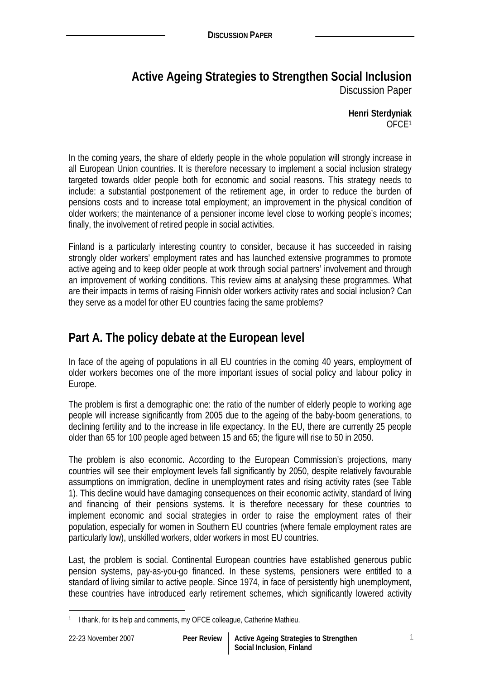# **Active Ageing Strategies to Strengthen Social Inclusion**  Discussion Paper

**Henri Sterdyniak**  OFCE1

In the coming years, the share of elderly people in the whole population will strongly increase in all European Union countries. It is therefore necessary to implement a social inclusion strategy targeted towards older people both for economic and social reasons. This strategy needs to include: a substantial postponement of the retirement age, in order to reduce the burden of pensions costs and to increase total employment; an improvement in the physical condition of older workers; the maintenance of a pensioner income level close to working people's incomes; finally, the involvement of retired people in social activities.

Finland is a particularly interesting country to consider, because it has succeeded in raising strongly older workers' employment rates and has launched extensive programmes to promote active ageing and to keep older people at work through social partners' involvement and through an improvement of working conditions. This review aims at analysing these programmes. What are their impacts in terms of raising Finnish older workers activity rates and social inclusion? Can they serve as a model for other EU countries facing the same problems?

# **Part A. The policy debate at the European level**

In face of the ageing of populations in all EU countries in the coming 40 years, employment of older workers becomes one of the more important issues of social policy and labour policy in Europe.

The problem is first a demographic one: the ratio of the number of elderly people to working age people will increase significantly from 2005 due to the ageing of the baby-boom generations, to declining fertility and to the increase in life expectancy. In the EU, there are currently 25 people older than 65 for 100 people aged between 15 and 65; the figure will rise to 50 in 2050.

The problem is also economic. According to the European Commission's projections, many countries will see their employment levels fall significantly by 2050, despite relatively favourable assumptions on immigration, decline in unemployment rates and rising activity rates (see Table 1). This decline would have damaging consequences on their economic activity, standard of living and financing of their pensions systems. It is therefore necessary for these countries to implement economic and social strategies in order to raise the employment rates of their population, especially for women in Southern EU countries (where female employment rates are particularly low), unskilled workers, older workers in most EU countries.

Last, the problem is social. Continental European countries have established generous public pension systems, pay-as-you-go financed. In these systems, pensioners were entitled to a standard of living similar to active people. Since 1974, in face of persistently high unemployment, these countries have introduced early retirement schemes, which significantly lowered activity

 $\overline{a}$ 

<sup>&</sup>lt;sup>1</sup> I thank, for its help and comments, my OFCE colleague, Catherine Mathieu.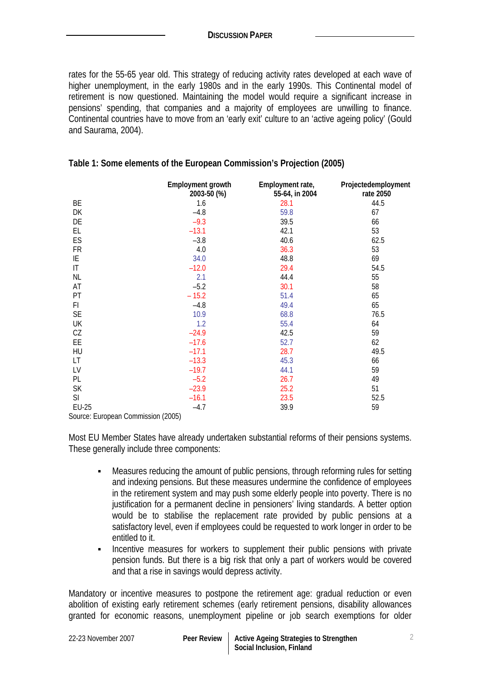rates for the 55-65 year old. This strategy of reducing activity rates developed at each wave of higher unemployment, in the early 1980s and in the early 1990s. This Continental model of retirement is now questioned. Maintaining the model would require a significant increase in pensions' spending, that companies and a majority of employees are unwilling to finance. Continental countries have to move from an 'early exit' culture to an 'active ageing policy' (Gould and Saurama, 2004).

|                                    | <b>Employment growth</b><br>2003-50 (%) | Employment rate,<br>55-64, in 2004 | Projectedemployment<br>rate 2050 |
|------------------------------------|-----------------------------------------|------------------------------------|----------------------------------|
| BE                                 | 1.6                                     | 28.1                               | 44.5                             |
| DK                                 | $-4.8$                                  | 59.8                               | 67                               |
| DE                                 | $-9.3$                                  | 39.5                               | 66                               |
| EL.                                | $-13.1$                                 | 42.1                               | 53                               |
| ES                                 | $-3.8$                                  | 40.6                               | 62.5                             |
| <b>FR</b>                          | 4.0                                     | 36.3                               | 53                               |
| ΙE                                 | 34.0                                    | 48.8                               | 69                               |
| IT                                 | $-12.0$                                 | 29.4                               | 54.5                             |
| <b>NL</b>                          | 2.1                                     | 44.4                               | 55                               |
| AT                                 | $-5.2$                                  | 30.1                               | 58                               |
| PT                                 | $-15.2$                                 | 51.4                               | 65                               |
| F1                                 | $-4.8$                                  | 49.4                               | 65                               |
| <b>SE</b>                          | 10.9                                    | 68.8                               | 76.5                             |
| UK                                 | 1.2                                     | 55.4                               | 64                               |
| CZ                                 | $-24.9$                                 | 42.5                               | 59                               |
| EE                                 | $-17.6$                                 | 52.7                               | 62                               |
| HU                                 | $-17.1$                                 | 28.7                               | 49.5                             |
| LT                                 | $-13.3$                                 | 45.3                               | 66                               |
| LV                                 | $-19.7$                                 | 44.1                               | 59                               |
| PL                                 | $-5.2$                                  | 26.7                               | 49                               |
| <b>SK</b>                          | $-23.9$                                 | 25.2                               | 51                               |
| SI                                 | $-16.1$                                 | 23.5                               | 52.5                             |
| <b>EU-25</b>                       | $-4.7$                                  | 39.9                               | 59                               |
| Source: European Commission (2005) |                                         |                                    |                                  |

### **Table 1: Some elements of the European Commission's Projection (2005)**

Most EU Member States have already undertaken substantial reforms of their pensions systems. These generally include three components:

- Measures reducing the amount of public pensions, through reforming rules for setting and indexing pensions. But these measures undermine the confidence of employees in the retirement system and may push some elderly people into poverty. There is no justification for a permanent decline in pensioners' living standards. A better option would be to stabilise the replacement rate provided by public pensions at a satisfactory level, even if employees could be requested to work longer in order to be entitled to it.
- **Incentive measures for workers to supplement their public pensions with private** pension funds. But there is a big risk that only a part of workers would be covered and that a rise in savings would depress activity.

Mandatory or incentive measures to postpone the retirement age: gradual reduction or even abolition of existing early retirement schemes (early retirement pensions, disability allowances granted for economic reasons, unemployment pipeline or job search exemptions for older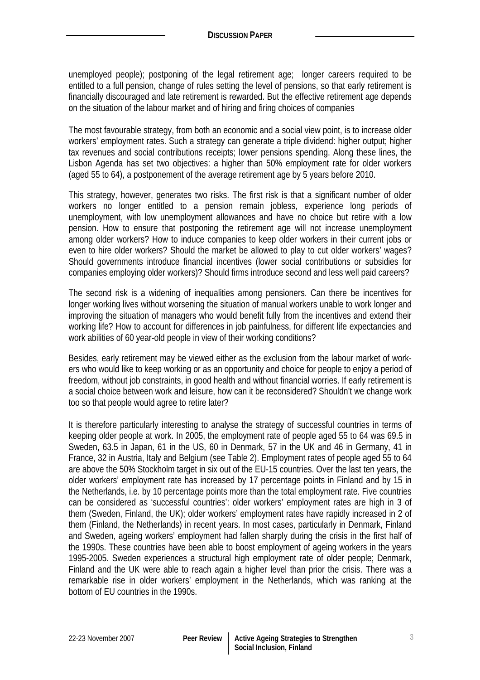unemployed people); postponing of the legal retirement age; longer careers required to be entitled to a full pension, change of rules setting the level of pensions, so that early retirement is financially discouraged and late retirement is rewarded. But the effective retirement age depends on the situation of the labour market and of hiring and firing choices of companies

The most favourable strategy, from both an economic and a social view point, is to increase older workers' employment rates. Such a strategy can generate a triple dividend: higher output; higher tax revenues and social contributions receipts; lower pensions spending. Along these lines, the Lisbon Agenda has set two objectives: a higher than 50% employment rate for older workers (aged 55 to 64), a postponement of the average retirement age by 5 years before 2010.

This strategy, however, generates two risks. The first risk is that a significant number of older workers no longer entitled to a pension remain jobless, experience long periods of unemployment, with low unemployment allowances and have no choice but retire with a low pension. How to ensure that postponing the retirement age will not increase unemployment among older workers? How to induce companies to keep older workers in their current jobs or even to hire older workers? Should the market be allowed to play to cut older workers' wages? Should governments introduce financial incentives (lower social contributions or subsidies for companies employing older workers)? Should firms introduce second and less well paid careers?

The second risk is a widening of inequalities among pensioners. Can there be incentives for longer working lives without worsening the situation of manual workers unable to work longer and improving the situation of managers who would benefit fully from the incentives and extend their working life? How to account for differences in job painfulness, for different life expectancies and work abilities of 60 year-old people in view of their working conditions?

Besides, early retirement may be viewed either as the exclusion from the labour market of workers who would like to keep working or as an opportunity and choice for people to enjoy a period of freedom, without job constraints, in good health and without financial worries. If early retirement is a social choice between work and leisure, how can it be reconsidered? Shouldn't we change work too so that people would agree to retire later?

It is therefore particularly interesting to analyse the strategy of successful countries in terms of keeping older people at work. In 2005, the employment rate of people aged 55 to 64 was 69.5 in Sweden, 63.5 in Japan, 61 in the US, 60 in Denmark, 57 in the UK and 46 in Germany, 41 in France, 32 in Austria, Italy and Belgium (see Table 2). Employment rates of people aged 55 to 64 are above the 50% Stockholm target in six out of the EU-15 countries. Over the last ten years, the older workers' employment rate has increased by 17 percentage points in Finland and by 15 in the Netherlands, i.e. by 10 percentage points more than the total employment rate. Five countries can be considered as 'successful countries': older workers' employment rates are high in 3 of them (Sweden, Finland, the UK); older workers' employment rates have rapidly increased in 2 of them (Finland, the Netherlands) in recent years. In most cases, particularly in Denmark, Finland and Sweden, ageing workers' employment had fallen sharply during the crisis in the first half of the 1990s. These countries have been able to boost employment of ageing workers in the years 1995-2005. Sweden experiences a structural high employment rate of older people; Denmark, Finland and the UK were able to reach again a higher level than prior the crisis. There was a remarkable rise in older workers' employment in the Netherlands, which was ranking at the bottom of EU countries in the 1990s.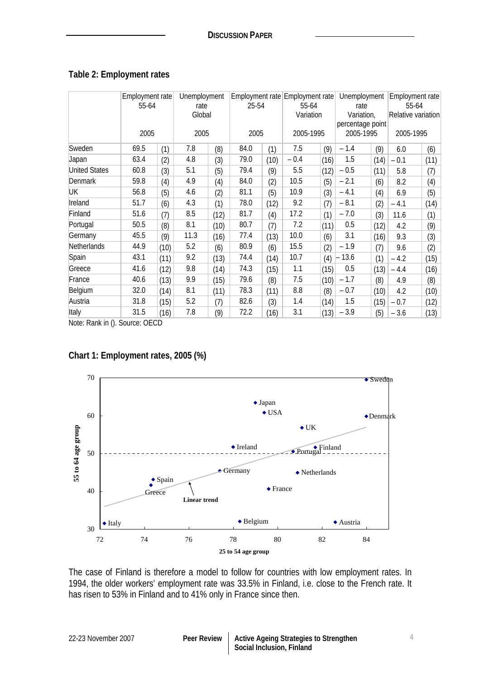### **Table 2: Employment rates**

|                      | Employment rate<br>55-64 |      | Unemployment<br>rate |      | 25-54 |      | Employment rate Employment rate<br>55-64 |           | Unemployment<br>rate |            | Employment rate<br>55-64 |                    |  |
|----------------------|--------------------------|------|----------------------|------|-------|------|------------------------------------------|-----------|----------------------|------------|--------------------------|--------------------|--|
|                      |                          |      | Global               |      |       |      |                                          | Variation |                      | Variation, |                          | Relative variation |  |
|                      | 2005                     |      | 2005                 |      | 2005  |      | 2005-1995                                |           | percentage point     |            |                          |                    |  |
|                      |                          |      |                      |      |       |      |                                          |           | 2005-1995            |            | 2005-1995                |                    |  |
| Sweden               | 69.5                     | (1)  | 7.8                  | (8)  | 84.0  | (1)  | 7.5                                      | (9)       | $-1.4$               | (9)        | 6.0                      | (6)                |  |
| Japan                | 63.4                     | (2)  | 4.8                  | (3)  | 79.0  | (10) | $-0.4$                                   | (16)      | 1.5                  | (14)       | $-0.1$                   | (11)               |  |
| <b>United States</b> | 60.8                     | (3)  | 5.1                  | (5)  | 79.4  | (9)  | 5.5                                      | (12)      | $-0.5$               | (11)       | 5.8                      | (7)                |  |
| <b>Denmark</b>       | 59.8                     | (4)  | 4.9                  | (4)  | 84.0  | (2)  | 10.5                                     | (5)       | $-2.1$               | (6)        | 8.2                      | (4)                |  |
| UK                   | 56.8                     | (5)  | 4.6                  | (2)  | 81.1  | (5)  | 10.9                                     | (3)       | $-4.1$               | (4)        | 6.9                      | (5)                |  |
| Ireland              | 51.7                     | (6)  | 4.3                  | (1)  | 78.0  | (12) | 9.2                                      | (7)       | $-8.1$               | (2)        | $-4.1$                   | (14)               |  |
| Finland              | 51.6                     | (7)  | 8.5                  | (12) | 81.7  | (4)  | 17.2                                     | (1)       | $-7.0$               | (3)        | 11.6                     | (1)                |  |
| Portugal             | 50.5                     | (8)  | 8.1                  | (10) | 80.7  | (7)  | 7.2                                      | (11)      | 0.5                  | (12)       | 4.2                      | (9)                |  |
| Germany              | 45.5                     | (9)  | 11.3                 | (16) | 77.4  | (13) | 10.0                                     | (6)       | 3.1                  | (16)       | 9.3                      | (3)                |  |
| Netherlands          | 44.9                     | (10) | 5.2                  | (6)  | 80.9  | (6)  | 15.5                                     | (2)       | $-1.9$               | (7)        | 9.6                      | (2)                |  |
| Spain                | 43.1                     | (11) | 9.2                  | (13) | 74.4  | (14) | 10.7                                     | (4)       | 13.6                 | (1)        | $-4.2$                   | (15)               |  |
| Greece               | 41.6                     | (12) | 9.8                  | (14) | 74.3  | (15) | 1.1                                      | (15)      | 0.5                  | (13)       | $-4.4$                   | (16)               |  |
| France               | 40.6                     | (13) | 9.9                  | (15) | 79.6  | (8)  | 7.5                                      | (10)      | $-1.7$               | (8)        | 4.9                      | (8)                |  |
| Belgium              | 32.0                     | (14) | 8.1                  | (11) | 78.3  | (11) | 8.8                                      | (8)       | $-0.7$               | (10)       | 4.2                      | (10)               |  |
| Austria              | 31.8                     | (15) | 5.2                  | (7)  | 82.6  | (3)  | 1.4                                      | (14)      | 1.5                  | (15)       | $-0.7$                   | (12)               |  |
| Italy                | 31.5                     | (16) | 7.8                  | (9)  | 72.2  | (16) | 3.1                                      | (13)      | $-3.9$               | (5)        | $-3.6$                   | (13)               |  |

Note: Rank in (). Source: OECD

## **Chart 1: Employment rates, 2005 (%)**



The case of Finland is therefore a model to follow for countries with low employment rates. In 1994, the older workers' employment rate was 33.5% in Finland, i.e. close to the French rate. It has risen to 53% in Finland and to 41% only in France since then.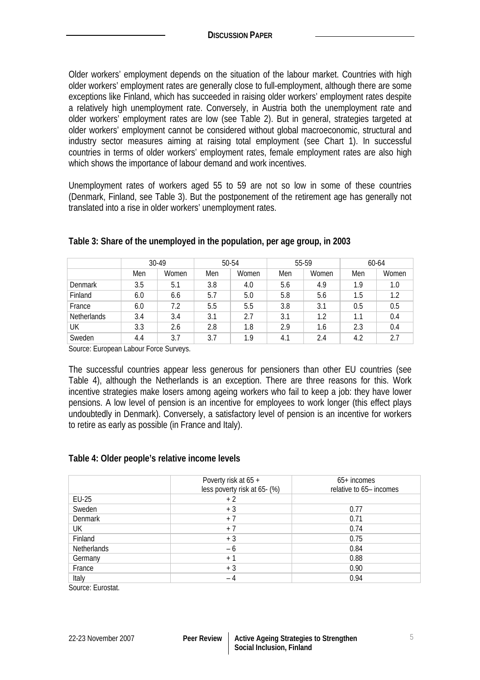Older workers' employment depends on the situation of the labour market. Countries with high older workers' employment rates are generally close to full-employment, although there are some exceptions like Finland, which has succeeded in raising older workers' employment rates despite a relatively high unemployment rate. Conversely, in Austria both the unemployment rate and older workers' employment rates are low (see Table 2). But in general, strategies targeted at older workers' employment cannot be considered without global macroeconomic, structural and industry sector measures aiming at raising total employment (see Chart 1). In successful countries in terms of older workers' employment rates, female employment rates are also high which shows the importance of labour demand and work incentives.

Unemployment rates of workers aged 55 to 59 are not so low in some of these countries (Denmark, Finland, see Table 3). But the postponement of the retirement age has generally not translated into a rise in older workers' unemployment rates.

|                    | 30-49 |       | 50-54 |       | 55-59 |       | 60-64 |       |
|--------------------|-------|-------|-------|-------|-------|-------|-------|-------|
|                    | Men   | Women | Men   | Women | Men   | Women | Men   | Women |
| Denmark            | 3.5   | 5.1   | 3.8   | 4.0   | 5.6   | 4.9   | 1.9   | 1.0   |
| Finland            | 6.0   | 6.6   | 5.7   | 5.0   | 5.8   | 5.6   | 1.5   | 1.2   |
| France             | 6.0   | 7.2   | 5.5   | 5.5   | 3.8   | 3.1   | 0.5   | 0.5   |
| <b>Netherlands</b> | 3.4   | 3.4   | 3.1   | 2.7   | 3.1   | 1.2   | 1.1   | 0.4   |
| UK                 | 3.3   | 2.6   | 2.8   | 1.8   | 2.9   | 1.6   | 2.3   | 0.4   |
| Sweden             | 4.4   | 3.7   | 3.7   | 1.9   | 4.1   | 2.4   | 4.2   | 2.7   |

#### **Table 3: Share of the unemployed in the population, per age group, in 2003**

Source: European Labour Force Surveys.

The successful countries appear less generous for pensioners than other EU countries (see Table 4), although the Netherlands is an exception. There are three reasons for this. Work incentive strategies make losers among ageing workers who fail to keep a job: they have lower pensions. A low level of pension is an incentive for employees to work longer (this effect plays undoubtedly in Denmark). Conversely, a satisfactory level of pension is an incentive for workers to retire as early as possible (in France and Italy).

#### **Table 4: Older people's relative income levels**

|                | Poverty risk at 65 +<br>less poverty risk at 65-(%) | $65+$ incomes<br>relative to 65- incomes |
|----------------|-----------------------------------------------------|------------------------------------------|
| EU-25          | $+2$                                                |                                          |
| Sweden         | $+3$                                                | 0.77                                     |
| <b>Denmark</b> | $+7$                                                | 0.71                                     |
| UK.            | $+7$                                                | 0.74                                     |
| Finland        | $+3$                                                | 0.75                                     |
| Netherlands    | - 6                                                 | 0.84                                     |
| Germany        | $+1$                                                | 0.88                                     |
| France         | $+3$                                                | 0.90                                     |
| Italy          | - 4                                                 | 0.94                                     |

Source: Eurostat.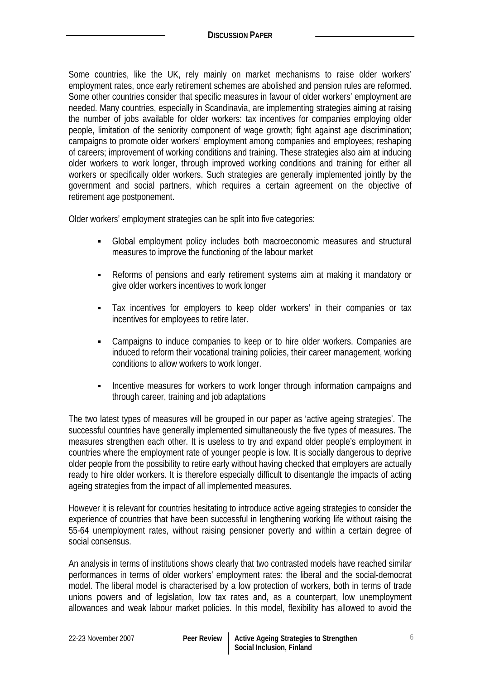Some countries, like the UK, rely mainly on market mechanisms to raise older workers' employment rates, once early retirement schemes are abolished and pension rules are reformed. Some other countries consider that specific measures in favour of older workers' employment are needed. Many countries, especially in Scandinavia, are implementing strategies aiming at raising the number of jobs available for older workers: tax incentives for companies employing older people, limitation of the seniority component of wage growth; fight against age discrimination; campaigns to promote older workers' employment among companies and employees; reshaping of careers; improvement of working conditions and training. These strategies also aim at inducing older workers to work longer, through improved working conditions and training for either all workers or specifically older workers. Such strategies are generally implemented jointly by the government and social partners, which requires a certain agreement on the objective of retirement age postponement.

Older workers' employment strategies can be split into five categories:

- Global employment policy includes both macroeconomic measures and structural measures to improve the functioning of the labour market
- Reforms of pensions and early retirement systems aim at making it mandatory or give older workers incentives to work longer
- Tax incentives for employers to keep older workers' in their companies or tax incentives for employees to retire later.
- Campaigns to induce companies to keep or to hire older workers. Companies are induced to reform their vocational training policies, their career management, working conditions to allow workers to work longer.
- Incentive measures for workers to work longer through information campaigns and through career, training and job adaptations

The two latest types of measures will be grouped in our paper as 'active ageing strategies'. The successful countries have generally implemented simultaneously the five types of measures. The measures strengthen each other. It is useless to try and expand older people's employment in countries where the employment rate of younger people is low. It is socially dangerous to deprive older people from the possibility to retire early without having checked that employers are actually ready to hire older workers. It is therefore especially difficult to disentangle the impacts of acting ageing strategies from the impact of all implemented measures.

However it is relevant for countries hesitating to introduce active ageing strategies to consider the experience of countries that have been successful in lengthening working life without raising the 55-64 unemployment rates, without raising pensioner poverty and within a certain degree of social consensus.

An analysis in terms of institutions shows clearly that two contrasted models have reached similar performances in terms of older workers' employment rates: the liberal and the social-democrat model. The liberal model is characterised by a low protection of workers, both in terms of trade unions powers and of legislation, low tax rates and, as a counterpart, low unemployment allowances and weak labour market policies. In this model, flexibility has allowed to avoid the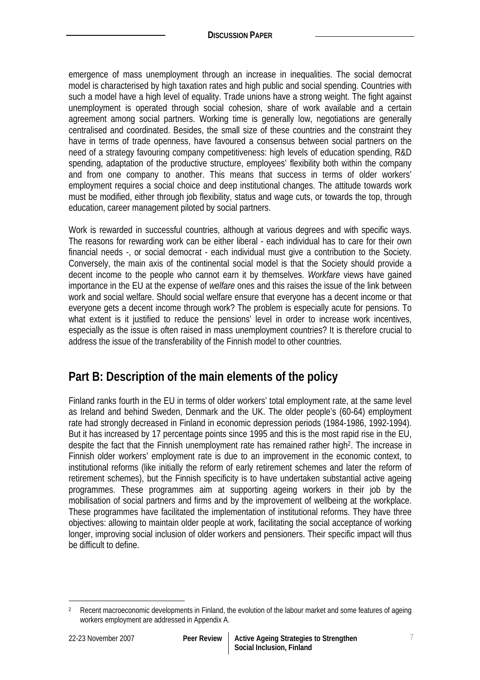emergence of mass unemployment through an increase in inequalities. The social democrat model is characterised by high taxation rates and high public and social spending. Countries with such a model have a high level of equality. Trade unions have a strong weight. The fight against unemployment is operated through social cohesion, share of work available and a certain agreement among social partners. Working time is generally low, negotiations are generally centralised and coordinated. Besides, the small size of these countries and the constraint they have in terms of trade openness, have favoured a consensus between social partners on the need of a strategy favouring company competitiveness: high levels of education spending, R&D spending, adaptation of the productive structure, employees' flexibility both within the company and from one company to another. This means that success in terms of older workers' employment requires a social choice and deep institutional changes. The attitude towards work must be modified, either through job flexibility, status and wage cuts, or towards the top, through education, career management piloted by social partners.

Work is rewarded in successful countries, although at various degrees and with specific ways. The reasons for rewarding work can be either liberal - each individual has to care for their own financial needs -, or social democrat - each individual must give a contribution to the Society. Conversely, the main axis of the continental social model is that the Society should provide a decent income to the people who cannot earn it by themselves. *Workfare* views have gained importance in the EU at the expense of *welfare* ones and this raises the issue of the link between work and social welfare. Should social welfare ensure that everyone has a decent income or that everyone gets a decent income through work? The problem is especially acute for pensions. To what extent is it justified to reduce the pensions' level in order to increase work incentives, especially as the issue is often raised in mass unemployment countries? It is therefore crucial to address the issue of the transferability of the Finnish model to other countries.

# **Part B: Description of the main elements of the policy**

Finland ranks fourth in the EU in terms of older workers' total employment rate, at the same level as Ireland and behind Sweden, Denmark and the UK. The older people's (60-64) employment rate had strongly decreased in Finland in economic depression periods (1984-1986, 1992-1994). But it has increased by 17 percentage points since 1995 and this is the most rapid rise in the EU, despite the fact that the Finnish unemployment rate has remained rather high<sup>2</sup>. The increase in Finnish older workers' employment rate is due to an improvement in the economic context, to institutional reforms (like initially the reform of early retirement schemes and later the reform of retirement schemes), but the Finnish specificity is to have undertaken substantial active ageing programmes. These programmes aim at supporting ageing workers in their job by the mobilisation of social partners and firms and by the improvement of wellbeing at the workplace. These programmes have facilitated the implementation of institutional reforms. They have three objectives: allowing to maintain older people at work, facilitating the social acceptance of working longer, improving social inclusion of older workers and pensioners. Their specific impact will thus be difficult to define.

 $\overline{a}$ 

<sup>&</sup>lt;sup>2</sup> Recent macroeconomic developments in Finland, the evolution of the labour market and some features of ageing workers employment are addressed in Appendix A.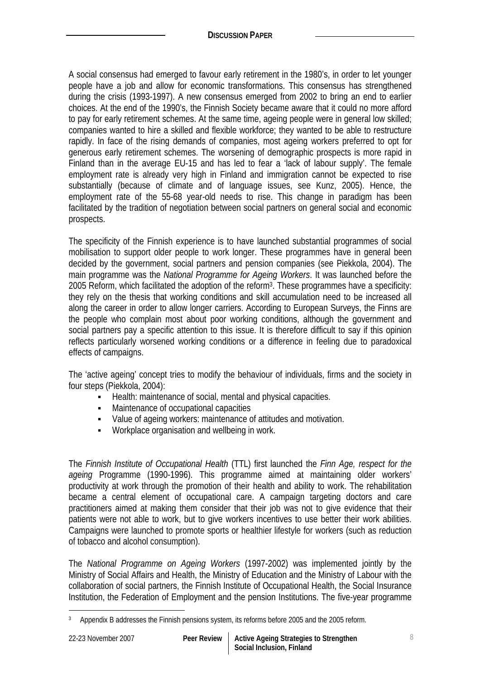A social consensus had emerged to favour early retirement in the 1980's, in order to let younger people have a job and allow for economic transformations. This consensus has strengthened during the crisis (1993-1997). A new consensus emerged from 2002 to bring an end to earlier choices. At the end of the 1990's, the Finnish Society became aware that it could no more afford to pay for early retirement schemes. At the same time, ageing people were in general low skilled; companies wanted to hire a skilled and flexible workforce; they wanted to be able to restructure rapidly. In face of the rising demands of companies, most ageing workers preferred to opt for generous early retirement schemes. The worsening of demographic prospects is more rapid in Finland than in the average EU-15 and has led to fear a 'lack of labour supply'. The female employment rate is already very high in Finland and immigration cannot be expected to rise substantially (because of climate and of language issues, see Kunz, 2005). Hence, the employment rate of the 55-68 year-old needs to rise. This change in paradigm has been facilitated by the tradition of negotiation between social partners on general social and economic prospects.

The specificity of the Finnish experience is to have launched substantial programmes of social mobilisation to support older people to work longer. These programmes have in general been decided by the government, social partners and pension companies (see Piekkola, 2004). The main programme was the *National Programme for Ageing Workers*. It was launched before the 2005 Reform, which facilitated the adoption of the reform3. These programmes have a specificity: they rely on the thesis that working conditions and skill accumulation need to be increased all along the career in order to allow longer carriers. According to European Surveys, the Finns are the people who complain most about poor working conditions, although the government and social partners pay a specific attention to this issue. It is therefore difficult to say if this opinion reflects particularly worsened working conditions or a difference in feeling due to paradoxical effects of campaigns.

The 'active ageing' concept tries to modify the behaviour of individuals, firms and the society in four steps (Piekkola, 2004):

- Health: maintenance of social, mental and physical capacities.
- Maintenance of occupational capacities
- Value of ageing workers: maintenance of attitudes and motivation.
- **Workplace organisation and wellbeing in work.**

The *Finnish Institute of Occupational Health* (TTL) first launched the *Finn Age, respect for the ageing* Programme (1990-1996). This programme aimed at maintaining older workers' productivity at work through the promotion of their health and ability to work. The rehabilitation became a central element of occupational care. A campaign targeting doctors and care practitioners aimed at making them consider that their job was not to give evidence that their patients were not able to work, but to give workers incentives to use better their work abilities. Campaigns were launched to promote sports or healthier lifestyle for workers (such as reduction of tobacco and alcohol consumption).

The *National Programme on Ageing Workers* (1997-2002) was implemented jointly by the Ministry of Social Affairs and Health, the Ministry of Education and the Ministry of Labour with the collaboration of social partners, the Finnish Institute of Occupational Health, the Social Insurance Institution, the Federation of Employment and the pension Institutions. The five-year programme

 $\overline{a}$ 

<sup>&</sup>lt;sup>3</sup> Appendix B addresses the Finnish pensions system, its reforms before 2005 and the 2005 reform.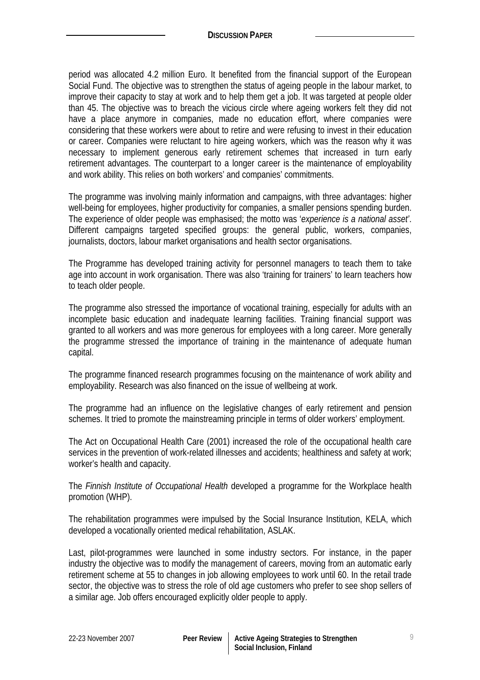period was allocated 4.2 million Euro. It benefited from the financial support of the European Social Fund. The objective was to strengthen the status of ageing people in the labour market, to improve their capacity to stay at work and to help them get a job. It was targeted at people older than 45. The objective was to breach the vicious circle where ageing workers felt they did not have a place anymore in companies, made no education effort, where companies were considering that these workers were about to retire and were refusing to invest in their education or career. Companies were reluctant to hire ageing workers, which was the reason why it was necessary to implement generous early retirement schemes that increased in turn early retirement advantages. The counterpart to a longer career is the maintenance of employability and work ability. This relies on both workers' and companies' commitments.

The programme was involving mainly information and campaigns, with three advantages: higher well-being for employees, higher productivity for companies, a smaller pensions spending burden. The experience of older people was emphasised; the motto was '*experience is a national asset'*. Different campaigns targeted specified groups: the general public, workers, companies, journalists, doctors, labour market organisations and health sector organisations.

The Programme has developed training activity for personnel managers to teach them to take age into account in work organisation. There was also 'training for trainers' to learn teachers how to teach older people.

The programme also stressed the importance of vocational training, especially for adults with an incomplete basic education and inadequate learning facilities. Training financial support was granted to all workers and was more generous for employees with a long career. More generally the programme stressed the importance of training in the maintenance of adequate human capital.

The programme financed research programmes focusing on the maintenance of work ability and employability. Research was also financed on the issue of wellbeing at work.

The programme had an influence on the legislative changes of early retirement and pension schemes. It tried to promote the mainstreaming principle in terms of older workers' employment.

The Act on Occupational Health Care (2001) increased the role of the occupational health care services in the prevention of work-related illnesses and accidents; healthiness and safety at work; worker's health and capacity.

The *Finnish Institute of Occupational Health* developed a programme for the Workplace health promotion (WHP).

The rehabilitation programmes were impulsed by the Social Insurance Institution, KELA, which developed a vocationally oriented medical rehabilitation, ASLAK.

Last, pilot-programmes were launched in some industry sectors. For instance, in the paper industry the objective was to modify the management of careers, moving from an automatic early retirement scheme at 55 to changes in job allowing employees to work until 60. In the retail trade sector, the objective was to stress the role of old age customers who prefer to see shop sellers of a similar age. Job offers encouraged explicitly older people to apply.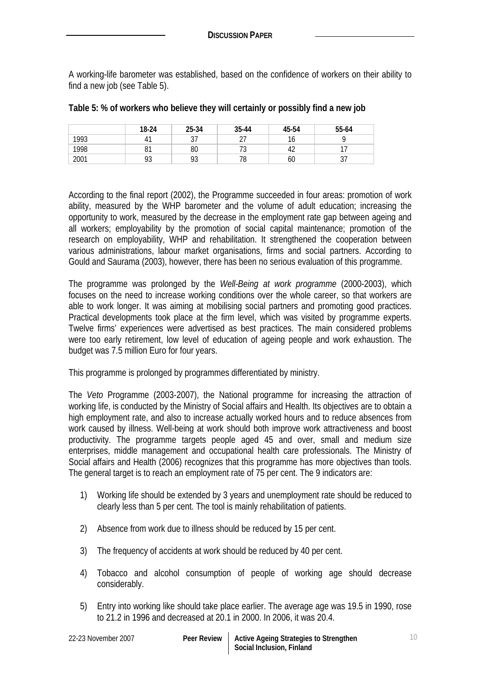A working-life barometer was established, based on the confidence of workers on their ability to find a new job (see Table 5).

|      | 18-24     | 25-34               | 35-44      | 45-54        | 55-64      |
|------|-----------|---------------------|------------|--------------|------------|
| 1993 | Д.        | $\sim$ $\sim$<br>ັບ | $\epsilon$ | $\sim$<br>16 |            |
| 1998 | υı        | 80                  | . ب        | 42           | . –        |
| 2001 | ററ<br>7 J | 93                  | 78         | 60           | ~-<br>ັບ / |

#### **Table 5: % of workers who believe they will certainly or possibly find a new job**

According to the final report (2002), the Programme succeeded in four areas: promotion of work ability, measured by the WHP barometer and the volume of adult education; increasing the opportunity to work, measured by the decrease in the employment rate gap between ageing and all workers; employability by the promotion of social capital maintenance; promotion of the research on employability, WHP and rehabilitation. It strengthened the cooperation between various administrations, labour market organisations, firms and social partners. According to Gould and Saurama (2003), however, there has been no serious evaluation of this programme.

The programme was prolonged by the *Well-Being at work programme* (2000-2003), which focuses on the need to increase working conditions over the whole career, so that workers are able to work longer. It was aiming at mobilising social partners and promoting good practices. Practical developments took place at the firm level, which was visited by programme experts. Twelve firms' experiences were advertised as best practices. The main considered problems were too early retirement, low level of education of ageing people and work exhaustion. The budget was 7.5 million Euro for four years.

This programme is prolonged by programmes differentiated by ministry.

The *Veto* Programme (2003-2007), the National programme for increasing the attraction of working life, is conducted by the Ministry of Social affairs and Health. Its objectives are to obtain a high employment rate, and also to increase actually worked hours and to reduce absences from work caused by illness. Well-being at work should both improve work attractiveness and boost productivity. The programme targets people aged 45 and over, small and medium size enterprises, middle management and occupational health care professionals. The Ministry of Social affairs and Health (2006) recognizes that this programme has more objectives than tools. The general target is to reach an employment rate of 75 per cent. The 9 indicators are:

- 1) Working life should be extended by 3 years and unemployment rate should be reduced to clearly less than 5 per cent. The tool is mainly rehabilitation of patients.
- 2) Absence from work due to illness should be reduced by 15 per cent.
- 3) The frequency of accidents at work should be reduced by 40 per cent.
- 4) Tobacco and alcohol consumption of people of working age should decrease considerably.
- 5) Entry into working like should take place earlier. The average age was 19.5 in 1990, rose to 21.2 in 1996 and decreased at 20.1 in 2000. In 2006, it was 20.4.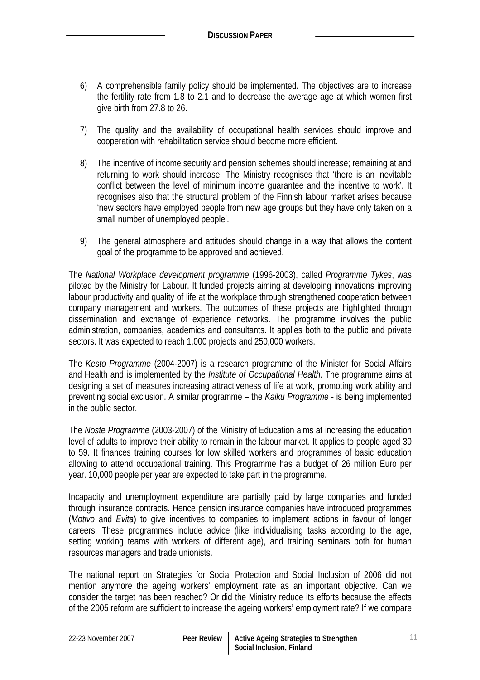- 6) A comprehensible family policy should be implemented. The objectives are to increase the fertility rate from 1.8 to 2.1 and to decrease the average age at which women first give birth from 27.8 to 26.
- 7) The quality and the availability of occupational health services should improve and cooperation with rehabilitation service should become more efficient.
- 8) The incentive of income security and pension schemes should increase; remaining at and returning to work should increase. The Ministry recognises that 'there is an inevitable conflict between the level of minimum income guarantee and the incentive to work'. It recognises also that the structural problem of the Finnish labour market arises because 'new sectors have employed people from new age groups but they have only taken on a small number of unemployed people'.
- 9) The general atmosphere and attitudes should change in a way that allows the content goal of the programme to be approved and achieved.

The *National Workplace development programme* (1996-2003), called *Programme Tykes*, was piloted by the Ministry for Labour. It funded projects aiming at developing innovations improving labour productivity and quality of life at the workplace through strengthened cooperation between company management and workers. The outcomes of these projects are highlighted through dissemination and exchange of experience networks. The programme involves the public administration, companies, academics and consultants. It applies both to the public and private sectors. It was expected to reach 1,000 projects and 250,000 workers.

The *Kesto Programme* (2004-2007) is a research programme of the Minister for Social Affairs and Health and is implemented by the *Institute of Occupational Health*. The programme aims at designing a set of measures increasing attractiveness of life at work, promoting work ability and preventing social exclusion. A similar programme – the *Kaiku Programme* - is being implemented in the public sector.

The *Noste Programme* (2003-2007) of the Ministry of Education aims at increasing the education level of adults to improve their ability to remain in the labour market. It applies to people aged 30 to 59. It finances training courses for low skilled workers and programmes of basic education allowing to attend occupational training. This Programme has a budget of 26 million Euro per year. 10,000 people per year are expected to take part in the programme.

Incapacity and unemployment expenditure are partially paid by large companies and funded through insurance contracts. Hence pension insurance companies have introduced programmes (*Motivo* and *Evita*) to give incentives to companies to implement actions in favour of longer careers. These programmes include advice (like individualising tasks according to the age, setting working teams with workers of different age), and training seminars both for human resources managers and trade unionists.

The national report on Strategies for Social Protection and Social Inclusion of 2006 did not mention anymore the ageing workers' employment rate as an important objective. Can we consider the target has been reached? Or did the Ministry reduce its efforts because the effects of the 2005 reform are sufficient to increase the ageing workers' employment rate? If we compare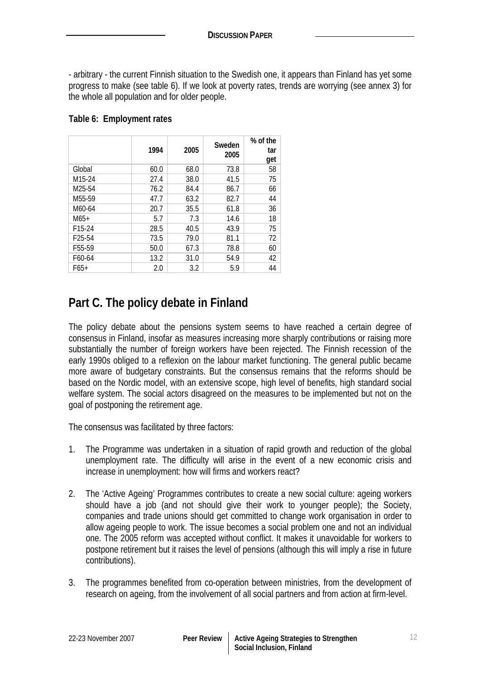- arbitrary - the current Finnish situation to the Swedish one, it appears than Finland has yet some progress to make (see table 6). If we look at poverty rates, trends are worrying (see annex 3) for the whole all population and for older people.

|                     | 1994 | 2005 | Sweden<br>2005 | % of the<br>tar<br>get |
|---------------------|------|------|----------------|------------------------|
| Global              | 60.0 | 68.0 | 73.8           | 58                     |
| M <sub>15</sub> -24 | 27.4 | 38.0 | 41.5           | 75                     |
| M <sub>25</sub> -54 | 76.2 | 84.4 | 86.7           | 66                     |
| M <sub>55</sub> -59 | 47.7 | 63.2 | 82.7           | 44                     |
| M60-64              | 20.7 | 35.5 | 61.8           | 36                     |
| $M65+$              | 5.7  | 7.3  | 14.6           | 18                     |
| F <sub>15</sub> -24 | 28.5 | 40.5 | 43.9           | 75                     |
| F <sub>25</sub> -54 | 73.5 | 79.0 | 81.1           | 72                     |
| F <sub>55</sub> -59 | 50.0 | 67.3 | 78.8           | 60                     |
| F60-64              | 13.2 | 31.0 | 54.9           | 42                     |
| $F65+$              | 2.0  | 3.2  | 5.9            | 44                     |

## **Table 6: Employment rates**

# **Part C. The policy debate in Finland**

The policy debate about the pensions system seems to have reached a certain degree of consensus in Finland, insofar as measures increasing more sharply contributions or raising more substantially the number of foreign workers have been rejected. The Finnish recession of the early 1990s obliged to a reflexion on the labour market functioning. The general public became more aware of budgetary constraints. But the consensus remains that the reforms should be based on the Nordic model, with an extensive scope, high level of benefits, high standard social welfare system. The social actors disagreed on the measures to be implemented but not on the goal of postponing the retirement age.

The consensus was facilitated by three factors:

- 1. The Programme was undertaken in a situation of rapid growth and reduction of the global unemployment rate. The difficulty will arise in the event of a new economic crisis and increase in unemployment: how will firms and workers react?
- 2. The 'Active Ageing' Programmes contributes to create a new social culture: ageing workers should have a job (and not should give their work to younger people); the Society, companies and trade unions should get committed to change work organisation in order to allow ageing people to work. The issue becomes a social problem one and not an individual one. The 2005 reform was accepted without conflict. It makes it unavoidable for workers to postpone retirement but it raises the level of pensions (although this will imply a rise in future contributions).
- 3. The programmes benefited from co-operation between ministries, from the development of research on ageing, from the involvement of all social partners and from action at firm-level.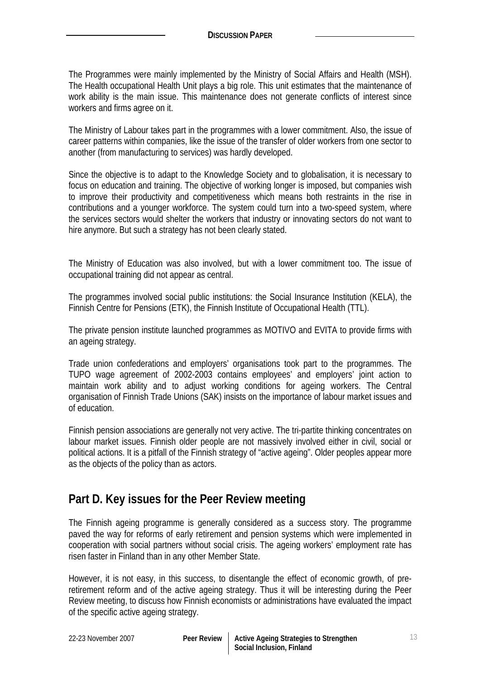The Programmes were mainly implemented by the Ministry of Social Affairs and Health (MSH). The Health occupational Health Unit plays a big role. This unit estimates that the maintenance of work ability is the main issue. This maintenance does not generate conflicts of interest since workers and firms agree on it.

The Ministry of Labour takes part in the programmes with a lower commitment. Also, the issue of career patterns within companies, like the issue of the transfer of older workers from one sector to another (from manufacturing to services) was hardly developed.

Since the objective is to adapt to the Knowledge Society and to globalisation, it is necessary to focus on education and training. The objective of working longer is imposed, but companies wish to improve their productivity and competitiveness which means both restraints in the rise in contributions and a younger workforce. The system could turn into a two-speed system, where the services sectors would shelter the workers that industry or innovating sectors do not want to hire anymore. But such a strategy has not been clearly stated.

The Ministry of Education was also involved, but with a lower commitment too. The issue of occupational training did not appear as central.

The programmes involved social public institutions: the Social Insurance Institution (KELA), the Finnish Centre for Pensions (ETK), the Finnish Institute of Occupational Health (TTL).

The private pension institute launched programmes as MOTIVO and EVITA to provide firms with an ageing strategy.

Trade union confederations and employers' organisations took part to the programmes. The TUPO wage agreement of 2002-2003 contains employees' and employers' joint action to maintain work ability and to adjust working conditions for ageing workers. The Central organisation of Finnish Trade Unions (SAK) insists on the importance of labour market issues and of education.

Finnish pension associations are generally not very active. The tri-partite thinking concentrates on labour market issues. Finnish older people are not massively involved either in civil, social or political actions. It is a pitfall of the Finnish strategy of "active ageing". Older peoples appear more as the objects of the policy than as actors.

# **Part D. Key issues for the Peer Review meeting**

The Finnish ageing programme is generally considered as a success story. The programme paved the way for reforms of early retirement and pension systems which were implemented in cooperation with social partners without social crisis. The ageing workers' employment rate has risen faster in Finland than in any other Member State.

However, it is not easy, in this success, to disentangle the effect of economic growth, of preretirement reform and of the active ageing strategy. Thus it will be interesting during the Peer Review meeting, to discuss how Finnish economists or administrations have evaluated the impact of the specific active ageing strategy.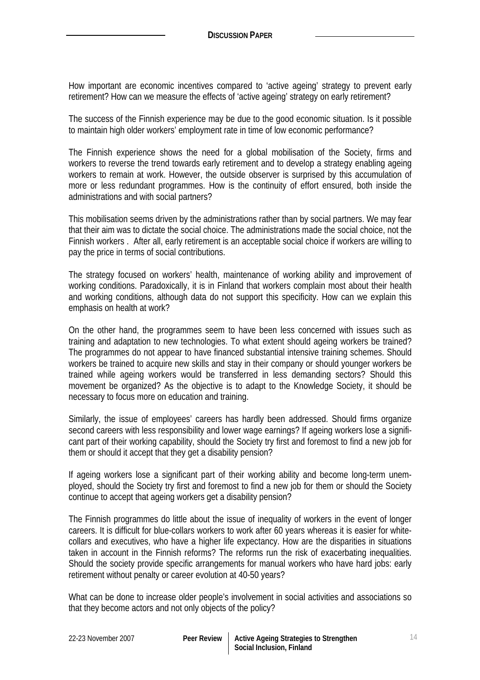How important are economic incentives compared to 'active ageing' strategy to prevent early retirement? How can we measure the effects of 'active ageing' strategy on early retirement?

The success of the Finnish experience may be due to the good economic situation. Is it possible to maintain high older workers' employment rate in time of low economic performance?

The Finnish experience shows the need for a global mobilisation of the Society, firms and workers to reverse the trend towards early retirement and to develop a strategy enabling ageing workers to remain at work. However, the outside observer is surprised by this accumulation of more or less redundant programmes. How is the continuity of effort ensured, both inside the administrations and with social partners?

This mobilisation seems driven by the administrations rather than by social partners. We may fear that their aim was to dictate the social choice. The administrations made the social choice, not the Finnish workers . After all, early retirement is an acceptable social choice if workers are willing to pay the price in terms of social contributions.

The strategy focused on workers' health, maintenance of working ability and improvement of working conditions. Paradoxically, it is in Finland that workers complain most about their health and working conditions, although data do not support this specificity. How can we explain this emphasis on health at work?

On the other hand, the programmes seem to have been less concerned with issues such as training and adaptation to new technologies. To what extent should ageing workers be trained? The programmes do not appear to have financed substantial intensive training schemes. Should workers be trained to acquire new skills and stay in their company or should younger workers be trained while ageing workers would be transferred in less demanding sectors? Should this movement be organized? As the objective is to adapt to the Knowledge Society, it should be necessary to focus more on education and training.

Similarly, the issue of employees' careers has hardly been addressed. Should firms organize second careers with less responsibility and lower wage earnings? If ageing workers lose a significant part of their working capability, should the Society try first and foremost to find a new job for them or should it accept that they get a disability pension?

If ageing workers lose a significant part of their working ability and become long-term unemployed, should the Society try first and foremost to find a new job for them or should the Society continue to accept that ageing workers get a disability pension?

The Finnish programmes do little about the issue of inequality of workers in the event of longer careers. It is difficult for blue-collars workers to work after 60 years whereas it is easier for whitecollars and executives, who have a higher life expectancy. How are the disparities in situations taken in account in the Finnish reforms? The reforms run the risk of exacerbating inequalities. Should the society provide specific arrangements for manual workers who have hard jobs: early retirement without penalty or career evolution at 40-50 years?

What can be done to increase older people's involvement in social activities and associations so that they become actors and not only objects of the policy?

| 22-23 November 2007 |  |
|---------------------|--|
|                     |  |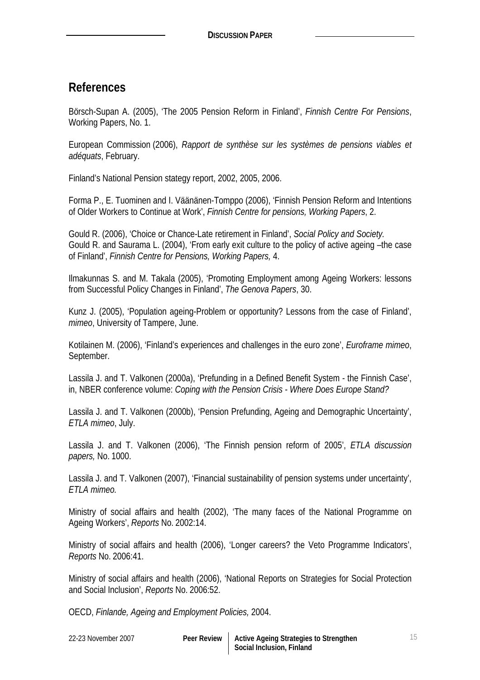# **References**

Börsch-Supan A. (2005), 'The 2005 Pension Reform in Finland', *Finnish Centre For Pensions*, Working Papers, No. 1.

European Commission (2006), *Rapport de synthèse sur les systèmes de pensions viables et adéquats*, February.

Finland's National Pension stategy report, 2002, 2005, 2006.

Forma P., E. Tuominen and I. Väänänen-Tomppo (2006), 'Finnish Pension Reform and Intentions of Older Workers to Continue at Work', *Finnish Centre for pensions, Working Papers*, 2.

Gould R. (2006), 'Choice or Chance-Late retirement in Finland', *Social Policy and Society.* Gould R. and Saurama L. (2004), 'From early exit culture to the policy of active ageing –the case of Finland', *Finnish Centre for Pensions, Working Papers,* 4.

Ilmakunnas S. and M. Takala (2005), 'Promoting Employment among Ageing Workers: lessons from Successful Policy Changes in Finland', *The Genova Papers*, 30.

Kunz J. (2005), 'Population ageing-Problem or opportunity? Lessons from the case of Finland', *mimeo*, University of Tampere, June.

Kotilainen M. (2006), 'Finland's experiences and challenges in the euro zone', *Euroframe mimeo*, September.

Lassila J. and T. Valkonen (2000a), 'Prefunding in a Defined Benefit System - the Finnish Case', in, NBER conference volume: *Coping with the Pension Crisis - Where Does Europe Stand?* 

Lassila J. and T. Valkonen (2000b), 'Pension Prefunding, Ageing and Demographic Uncertainty', *ETLA mimeo*, July.

Lassila J. and T. Valkonen (2006), 'The Finnish pension reform of 2005', *ETLA discussion papers,* No. 1000.

Lassila J. and T. Valkonen (2007), 'Financial sustainability of pension systems under uncertainty', *ETLA mimeo.*

Ministry of social affairs and health (2002), 'The many faces of the National Programme on Ageing Workers', *Reports* No. 2002:14.

Ministry of social affairs and health (2006), 'Longer careers? the Veto Programme Indicators', *Reports* No. 2006:41.

Ministry of social affairs and health (2006), 'National Reports on Strategies for Social Protection and Social Inclusion', *Reports* No. 2006:52.

OECD, *Finlande, Ageing and Employment Policies,* 2004.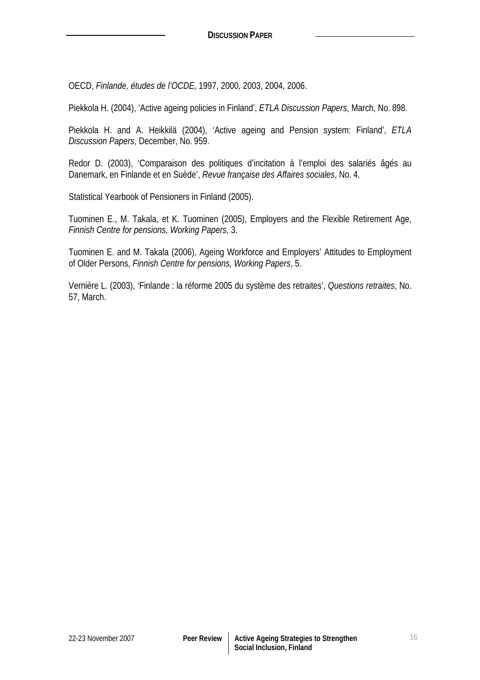OECD, *Finlande, études de l'OCDE,* 1997, 2000, 2003, 2004, 2006.

Piekkola H. (2004), 'Active ageing policies in Finland', *ETLA Discussion Papers*, March, No. 898.

Piekkola H. and A. Heikkilä (2004), 'Active ageing and Pension system: Finland', *ETLA Discussion Papers*, December, No. 959.

Redor D. (2003), 'Comparaison des politiques d'incitation à l'emploi des salariés âgés au Danemark, en Finlande et en Suède', *Revue française des Affaires sociales*, No. 4.

Statistical Yearbook of Pensioners in Finland (2005).

Tuominen E., M. Takala, et K. Tuominen (2005), Employers and the Flexible Retirement Age, *Finnish Centre for pensions, Working Papers*, 3.

Tuominen E. and M. Takala (2006), Ageing Workforce and Employers' Attitudes to Employment of Older Persons, *Finnish Centre for pensions, Working Papers*, 5.

Vernière L. (2003), 'Finlande : la réforme 2005 du système des retraites', *Questions retraites*, No. 57, March.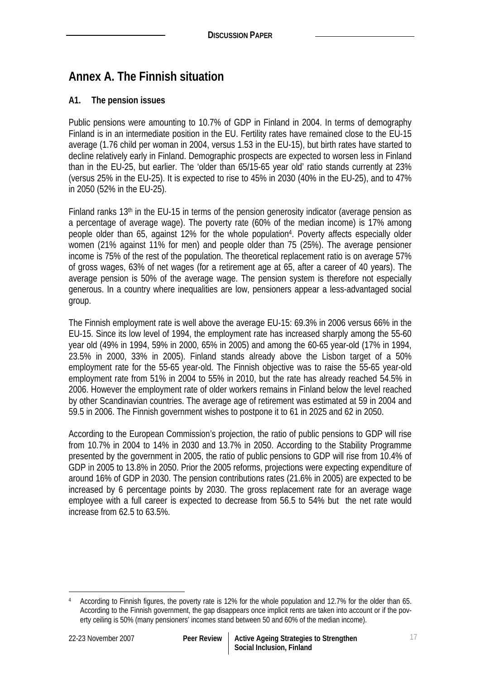# **Annex A. The Finnish situation**

## **A1. The pension issues**

Public pensions were amounting to 10.7% of GDP in Finland in 2004. In terms of demography Finland is in an intermediate position in the EU. Fertility rates have remained close to the EU-15 average (1.76 child per woman in 2004, versus 1.53 in the EU-15), but birth rates have started to decline relatively early in Finland. Demographic prospects are expected to worsen less in Finland than in the EU-25, but earlier. The 'older than 65/15-65 year old' ratio stands currently at 23% (versus 25% in the EU-25). It is expected to rise to 45% in 2030 (40% in the EU-25), and to 47% in 2050 (52% in the EU-25).

Finland ranks  $13<sup>th</sup>$  in the EU-15 in terms of the pension generosity indicator (average pension as a percentage of average wage). The poverty rate (60% of the median income) is 17% among people older than 65, against 12% for the whole population4. Poverty affects especially older women (21% against 11% for men) and people older than 75 (25%). The average pensioner income is 75% of the rest of the population. The theoretical replacement ratio is on average 57% of gross wages, 63% of net wages (for a retirement age at 65, after a career of 40 years). The average pension is 50% of the average wage. The pension system is therefore not especially generous. In a country where inequalities are low, pensioners appear a less-advantaged social group.

The Finnish employment rate is well above the average EU-15: 69.3% in 2006 versus 66% in the EU-15. Since its low level of 1994, the employment rate has increased sharply among the 55-60 year old (49% in 1994, 59% in 2000, 65% in 2005) and among the 60-65 year-old (17% in 1994, 23.5% in 2000, 33% in 2005). Finland stands already above the Lisbon target of a 50% employment rate for the 55-65 year-old. The Finnish objective was to raise the 55-65 year-old employment rate from 51% in 2004 to 55% in 2010, but the rate has already reached 54.5% in 2006. However the employment rate of older workers remains in Finland below the level reached by other Scandinavian countries. The average age of retirement was estimated at 59 in 2004 and 59.5 in 2006. The Finnish government wishes to postpone it to 61 in 2025 and 62 in 2050.

According to the European Commission's projection, the ratio of public pensions to GDP will rise from 10.7% in 2004 to 14% in 2030 and 13.7% in 2050. According to the Stability Programme presented by the government in 2005, the ratio of public pensions to GDP will rise from 10.4% of GDP in 2005 to 13.8% in 2050. Prior the 2005 reforms, projections were expecting expenditure of around 16% of GDP in 2030. The pension contributions rates (21.6% in 2005) are expected to be increased by 6 percentage points by 2030. The gross replacement rate for an average wage employee with a full career is expected to decrease from 56.5 to 54% but the net rate would increase from 62.5 to 63.5%.

 $\overline{a}$ 4 According to Finnish figures, the poverty rate is 12% for the whole population and 12.7% for the older than 65. According to the Finnish government, the gap disappears once implicit rents are taken into account or if the poverty ceiling is 50% (many pensioners' incomes stand between 50 and 60% of the median income).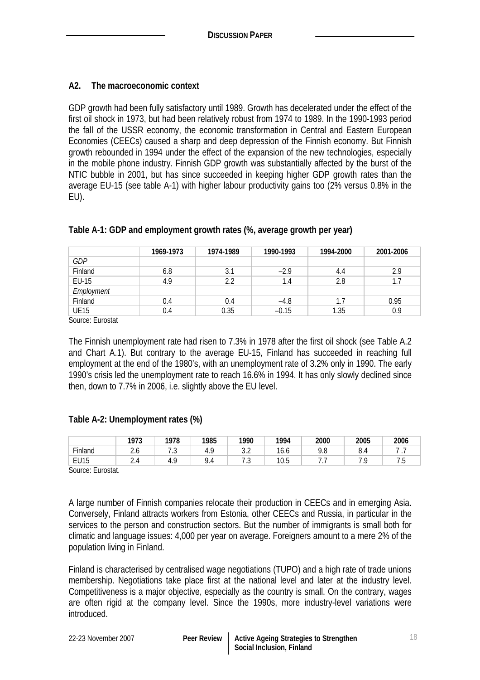## **A2. The macroeconomic context**

GDP growth had been fully satisfactory until 1989. Growth has decelerated under the effect of the first oil shock in 1973, but had been relatively robust from 1974 to 1989. In the 1990-1993 period the fall of the USSR economy, the economic transformation in Central and Eastern European Economies (CEECs) caused a sharp and deep depression of the Finnish economy. But Finnish growth rebounded in 1994 under the effect of the expansion of the new technologies, especially in the mobile phone industry. Finnish GDP growth was substantially affected by the burst of the NTIC bubble in 2001, but has since succeeded in keeping higher GDP growth rates than the average EU-15 (see table A-1) with higher labour productivity gains too (2% versus 0.8% in the EU).

|             | 1969-1973 | 1974-1989 | 1990-1993 | 1994-2000 | 2001-2006 |
|-------------|-----------|-----------|-----------|-----------|-----------|
| GDP         |           |           |           |           |           |
| Finland     | 6.8       | 3.1       | $-2.9$    | 4.4       | 2.9       |
| EU-15       | 4.9       | 2.2       | 1.4       | 2.8       | 1.7       |
| Employment  |           |           |           |           |           |
| Finland     | 0.4       | 0.4       | $-4.8$    | 1.7       | 0.95      |
| <b>UE15</b> | 0.4       | 0.35      | $-0.15$   | 1.35      | 0.9       |

## **Table A-1: GDP and employment growth rates (%, average growth per year)**

Source: Eurostat

The Finnish unemployment rate had risen to 7.3% in 1978 after the first oil shock (see Table A.2 and Chart A.1). But contrary to the average EU-15, Finland has succeeded in reaching full employment at the end of the 1980's, with an unemployment rate of 3.2% only in 1990. The early 1990's crisis led the unemployment rate to reach 16.6% in 1994. It has only slowly declined since then, down to 7.7% in 2006, i.e. slightly above the EU level.

#### **Table A-2: Unemployment rates (%)**

|             | 1073<br>. 773 | 1978                                 | 1985                    | 1990          | 1994                             | 2000                     | 2005    | 2006 |
|-------------|---------------|--------------------------------------|-------------------------|---------------|----------------------------------|--------------------------|---------|------|
| Finland     | Z.U           | $\overline{ }$ $\overline{ }$<br>. ٻ | $\epsilon$<br>л.<br>т., | $\sim$<br>J.Z | $\overline{\phantom{a}}$<br>16.6 | $\sim$ $\sim$<br><br>7.O | u<br>U. |      |
| <b>EU15</b> | $\sim$        | $\epsilon$<br>4<br>т.,               | 1.4                     | ن.            | 10E<br>ь<br>U.J                  | . .                      |         | . ب  |

Source: Eurostat.

A large number of Finnish companies relocate their production in CEECs and in emerging Asia. Conversely, Finland attracts workers from Estonia, other CEECs and Russia, in particular in the services to the person and construction sectors. But the number of immigrants is small both for climatic and language issues: 4,000 per year on average. Foreigners amount to a mere 2% of the population living in Finland.

Finland is characterised by centralised wage negotiations (TUPO) and a high rate of trade unions membership. Negotiations take place first at the national level and later at the industry level. Competitiveness is a major objective, especially as the country is small. On the contrary, wages are often rigid at the company level. Since the 1990s, more industry-level variations were introduced.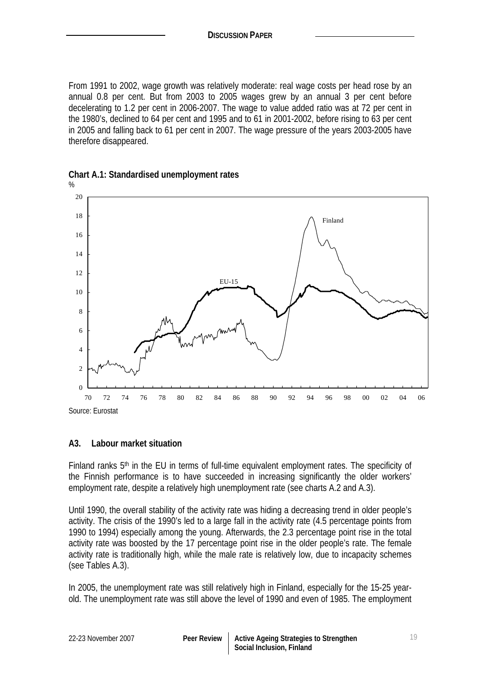From 1991 to 2002, wage growth was relatively moderate: real wage costs per head rose by an annual 0.8 per cent. But from 2003 to 2005 wages grew by an annual 3 per cent before decelerating to 1.2 per cent in 2006-2007. The wage to value added ratio was at 72 per cent in the 1980's, declined to 64 per cent and 1995 and to 61 in 2001-2002, before rising to 63 per cent in 2005 and falling back to 61 per cent in 2007. The wage pressure of the years 2003-2005 have therefore disappeared.



**Chart A.1: Standardised unemployment rates** 

#### **A3. Labour market situation**

Finland ranks 5th in the EU in terms of full-time equivalent employment rates. The specificity of the Finnish performance is to have succeeded in increasing significantly the older workers' employment rate, despite a relatively high unemployment rate (see charts A.2 and A.3).

Until 1990, the overall stability of the activity rate was hiding a decreasing trend in older people's activity. The crisis of the 1990's led to a large fall in the activity rate (4.5 percentage points from 1990 to 1994) especially among the young. Afterwards, the 2.3 percentage point rise in the total activity rate was boosted by the 17 percentage point rise in the older people's rate. The female activity rate is traditionally high, while the male rate is relatively low, due to incapacity schemes (see Tables A.3).

In 2005, the unemployment rate was still relatively high in Finland, especially for the 15-25 yearold. The unemployment rate was still above the level of 1990 and even of 1985. The employment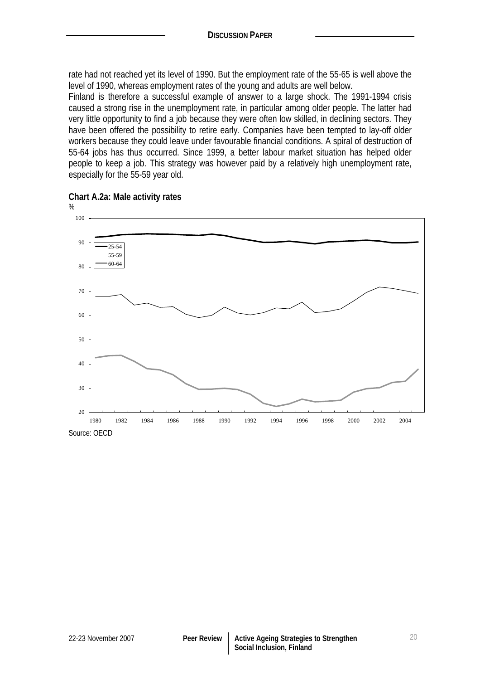rate had not reached yet its level of 1990. But the employment rate of the 55-65 is well above the level of 1990, whereas employment rates of the young and adults are well below.

Finland is therefore a successful example of answer to a large shock. The 1991-1994 crisis caused a strong rise in the unemployment rate, in particular among older people. The latter had very little opportunity to find a job because they were often low skilled, in declining sectors. They have been offered the possibility to retire early. Companies have been tempted to lay-off older workers because they could leave under favourable financial conditions. A spiral of destruction of 55-64 jobs has thus occurred. Since 1999, a better labour market situation has helped older people to keep a job. This strategy was however paid by a relatively high unemployment rate, especially for the 55-59 year old.



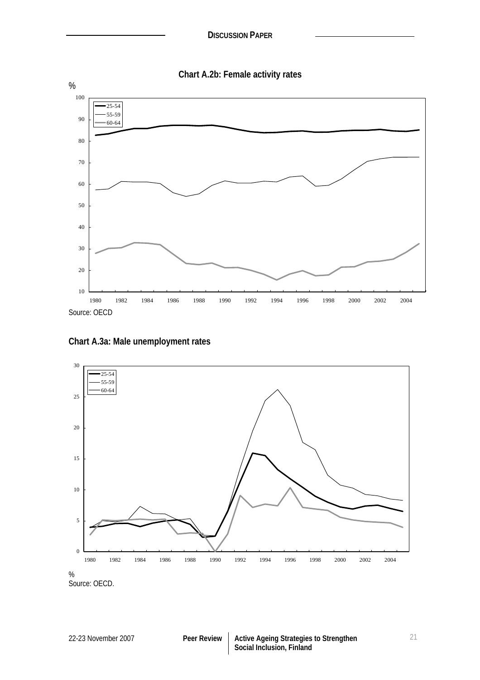

**Chart A.3a: Male unemployment rates** 



Source: OECD.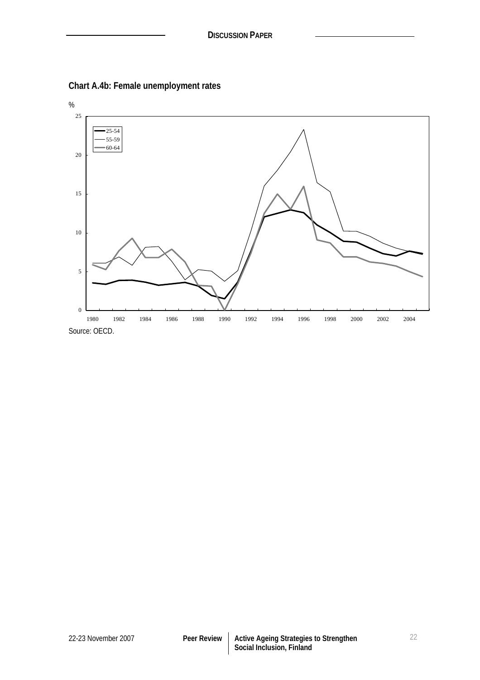

**Chart A.4b: Female unemployment rates**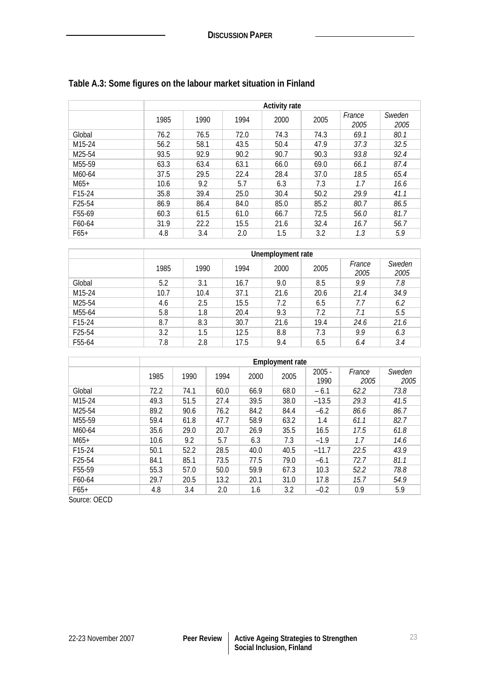|                     | <b>Activity rate</b> |      |      |      |      |                |                |  |  |  |
|---------------------|----------------------|------|------|------|------|----------------|----------------|--|--|--|
|                     | 1985                 | 1990 | 1994 | 2000 | 2005 | France<br>2005 | Sweden<br>2005 |  |  |  |
| Global              | 76.2                 | 76.5 | 72.0 | 74.3 | 74.3 | 69.1           | 80.1           |  |  |  |
| M15-24              | 56.2                 | 58.1 | 43.5 | 50.4 | 47.9 | 37.3           | 32.5           |  |  |  |
| M25-54              | 93.5                 | 92.9 | 90.2 | 90.7 | 90.3 | 93.8           | 92.4           |  |  |  |
| M <sub>55</sub> -59 | 63.3                 | 63.4 | 63.1 | 66.0 | 69.0 | 66.1           | 87.4           |  |  |  |
| M60-64              | 37.5                 | 29.5 | 22.4 | 28.4 | 37.0 | 18.5           | 65.4           |  |  |  |
| $M65+$              | 10.6                 | 9.2  | 5.7  | 6.3  | 7.3  | 1.7            | 16.6           |  |  |  |
| F15-24              | 35.8                 | 39.4 | 25.0 | 30.4 | 50.2 | 29.9           | 41.1           |  |  |  |
| F <sub>25</sub> -54 | 86.9                 | 86.4 | 84.0 | 85.0 | 85.2 | 80.7           | 86.5           |  |  |  |
| F <sub>55</sub> -69 | 60.3                 | 61.5 | 61.0 | 66.7 | 72.5 | 56.0           | 81.7           |  |  |  |
| F60-64              | 31.9                 | 22.2 | 15.5 | 21.6 | 32.4 | 16.7           | 56.7           |  |  |  |
| $F65+$              | 4.8                  | 3.4  | 2.0  | 1.5  | 3.2  | 1.3            | 5.9            |  |  |  |

# **Table A.3: Some figures on the labour market situation in Finland**

|        |      | Unemployment rate |      |      |      |                |                |  |  |  |  |
|--------|------|-------------------|------|------|------|----------------|----------------|--|--|--|--|
|        | 1985 | 1990              | 1994 | 2000 | 2005 | France<br>2005 | Sweden<br>2005 |  |  |  |  |
| Global | 5.2  | 3.1               | 16.7 | 9.0  | 8.5  | 9.9            | 7.8            |  |  |  |  |
| M15-24 | 10.7 | 10.4              | 37.1 | 21.6 | 20.6 | 21.4           | 34.9           |  |  |  |  |
| M25-54 | 4.6  | 2.5               | 15.5 | 7.2  | 6.5  | 7.7            | 6.2            |  |  |  |  |
| M55-64 | 5.8  | 1.8               | 20.4 | 9.3  | 7.2  | 7.1            | 5.5            |  |  |  |  |
| F15-24 | 8.7  | 8.3               | 30.7 | 21.6 | 19.4 | 24.6           | 21.6           |  |  |  |  |
| F25-54 | 3.2  | 1.5               | 12.5 | 8.8  | 7.3  | 9.9            | 6.3            |  |  |  |  |
| F55-64 | 7.8  | 2.8               | 17.5 | 9.4  | 6.5  | 6.4            | 3.4            |  |  |  |  |

|                     | <b>Employment rate</b> |      |      |      |      |                  |                |                |  |  |
|---------------------|------------------------|------|------|------|------|------------------|----------------|----------------|--|--|
|                     | 1985                   | 1990 | 1994 | 2000 | 2005 | $2005 -$<br>1990 | France<br>2005 | Sweden<br>2005 |  |  |
| Global              | 72.2                   | 74.1 | 60.0 | 66.9 | 68.0 | $-6.1$           | 62.2           | 73.8           |  |  |
| M <sub>15</sub> -24 | 49.3                   | 51.5 | 27.4 | 39.5 | 38.0 | $-13.5$          | 29.3           | 41.5           |  |  |
| M25-54              | 89.2                   | 90.6 | 76.2 | 84.2 | 84.4 | $-6.2$           | 86.6           | 86.7           |  |  |
| M55-59              | 59.4                   | 61.8 | 47.7 | 58.9 | 63.2 | 1.4              | 61.1           | 82.7           |  |  |
| M60-64              | 35.6                   | 29.0 | 20.7 | 26.9 | 35.5 | 16.5             | 17.5           | 61.8           |  |  |
| $M65+$              | 10.6                   | 9.2  | 5.7  | 6.3  | 7.3  | $-1.9$           | 1.7            | 14.6           |  |  |
| F15-24              | 50.1                   | 52.2 | 28.5 | 40.0 | 40.5 | $-11.7$          | 22.5           | 43.9           |  |  |
| F <sub>25</sub> -54 | 84.1                   | 85.1 | 73.5 | 77.5 | 79.0 | $-6.1$           | 72.7           | 81.1           |  |  |
| F55-59              | 55.3                   | 57.0 | 50.0 | 59.9 | 67.3 | 10.3             | 52.2           | 78.8           |  |  |
| F60-64              | 29.7                   | 20.5 | 13.2 | 20.1 | 31.0 | 17.8             | 15.7           | 54.9           |  |  |
| $F65+$              | 4.8                    | 3.4  | 2.0  | 1.6  | 3.2  | $-0.2$           | 0.9            | 5.9            |  |  |

Source: OECD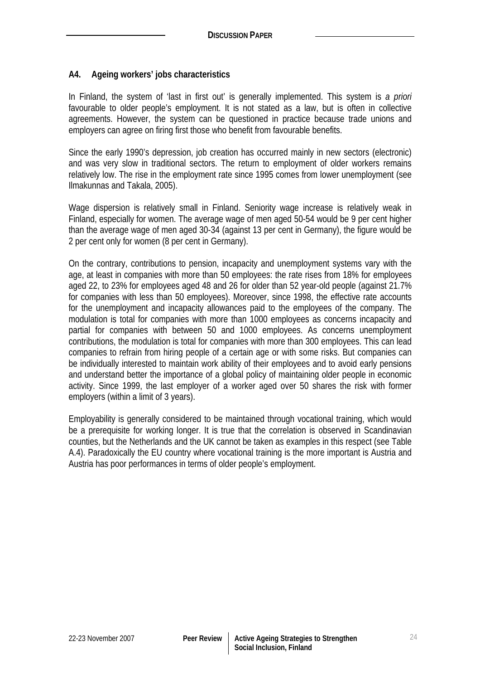### **A4. Ageing workers' jobs characteristics**

In Finland, the system of 'last in first out' is generally implemented. This system is *a priori* favourable to older people's employment. It is not stated as a law, but is often in collective agreements. However, the system can be questioned in practice because trade unions and employers can agree on firing first those who benefit from favourable benefits.

Since the early 1990's depression, job creation has occurred mainly in new sectors (electronic) and was very slow in traditional sectors. The return to employment of older workers remains relatively low. The rise in the employment rate since 1995 comes from lower unemployment (see Ilmakunnas and Takala, 2005).

Wage dispersion is relatively small in Finland. Seniority wage increase is relatively weak in Finland, especially for women. The average wage of men aged 50-54 would be 9 per cent higher than the average wage of men aged 30-34 (against 13 per cent in Germany), the figure would be 2 per cent only for women (8 per cent in Germany).

On the contrary, contributions to pension, incapacity and unemployment systems vary with the age, at least in companies with more than 50 employees: the rate rises from 18% for employees aged 22, to 23% for employees aged 48 and 26 for older than 52 year-old people (against 21.7% for companies with less than 50 employees). Moreover, since 1998, the effective rate accounts for the unemployment and incapacity allowances paid to the employees of the company. The modulation is total for companies with more than 1000 employees as concerns incapacity and partial for companies with between 50 and 1000 employees. As concerns unemployment contributions, the modulation is total for companies with more than 300 employees. This can lead companies to refrain from hiring people of a certain age or with some risks. But companies can be individually interested to maintain work ability of their employees and to avoid early pensions and understand better the importance of a global policy of maintaining older people in economic activity. Since 1999, the last employer of a worker aged over 50 shares the risk with former employers (within a limit of 3 years).

Employability is generally considered to be maintained through vocational training, which would be a prerequisite for working longer. It is true that the correlation is observed in Scandinavian counties, but the Netherlands and the UK cannot be taken as examples in this respect (see Table A.4). Paradoxically the EU country where vocational training is the more important is Austria and Austria has poor performances in terms of older people's employment.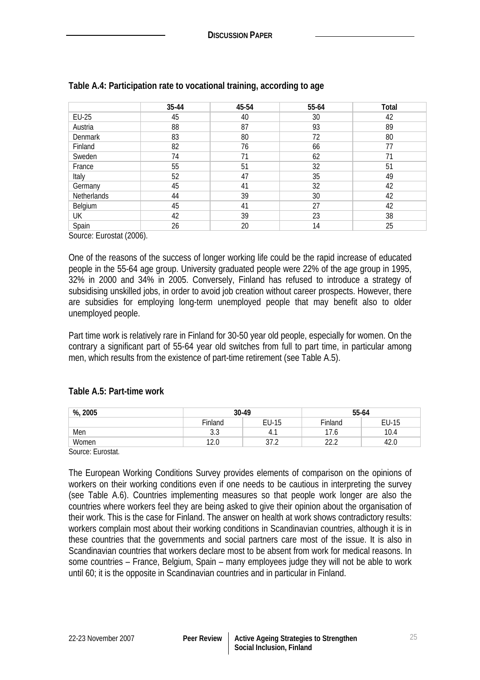|                        | 35-44 | 45-54 | 55-64 | Total |
|------------------------|-------|-------|-------|-------|
| EU-25                  | 45    | 40    | 30    | 42    |
| Austria                | 88    | 87    | 93    | 89    |
| Denmark                | 83    | 80    | 72    | 80    |
| Finland                | 82    | 76    | 66    | 77    |
| Sweden                 | 74    | 71    | 62    | 71    |
| France                 | 55    | 51    | 32    | 51    |
| Italy                  | 52    | 47    | 35    | 49    |
| Germany                | 45    | 41    | 32    | 42    |
| Netherlands            | 44    | 39    | 30    | 42    |
| Belgium                | 45    | 41    | 27    | 42    |
| UK                     | 42    | 39    | 23    | 38    |
| Spain<br>$\sim$ $\sim$ | 26    | 20    | 14    | 25    |

### **Table A.4: Participation rate to vocational training, according to age**

Source: Eurostat (2006).

One of the reasons of the success of longer working life could be the rapid increase of educated people in the 55-64 age group. University graduated people were 22% of the age group in 1995, 32% in 2000 and 34% in 2005. Conversely, Finland has refused to introduce a strategy of subsidising unskilled jobs, in order to avoid job creation without career prospects. However, there are subsidies for employing long-term unemployed people that may benefit also to older unemployed people.

Part time work is relatively rare in Finland for 30-50 year old people, especially for women. On the contrary a significant part of 55-64 year old switches from full to part time, in particular among men, which results from the existence of part-time retirement (see Table A.5).

#### **Table A.5: Part-time work**

| %, 2005          |                      | 30-49                     |              | 55-64 |  |  |
|------------------|----------------------|---------------------------|--------------|-------|--|--|
|                  | Finland              | EU-15                     | Finland      | EU-15 |  |  |
| Men              | $\sim$ $\sim$<br>J.J | 4.,                       | 7.6          | 10.4  |  |  |
| Women            | 12.0                 | $\sim$<br>$\sim$<br>ے، رن | າາ າ<br>52.Z | 42.0  |  |  |
| Course: Eurostat |                      |                           |              |       |  |  |

Source: Eurostat.

The European Working Conditions Survey provides elements of comparison on the opinions of workers on their working conditions even if one needs to be cautious in interpreting the survey (see Table A.6). Countries implementing measures so that people work longer are also the countries where workers feel they are being asked to give their opinion about the organisation of their work. This is the case for Finland. The answer on health at work shows contradictory results: workers complain most about their working conditions in Scandinavian countries, although it is in these countries that the governments and social partners care most of the issue. It is also in Scandinavian countries that workers declare most to be absent from work for medical reasons. In some countries – France, Belgium, Spain – many employees judge they will not be able to work until 60; it is the opposite in Scandinavian countries and in particular in Finland.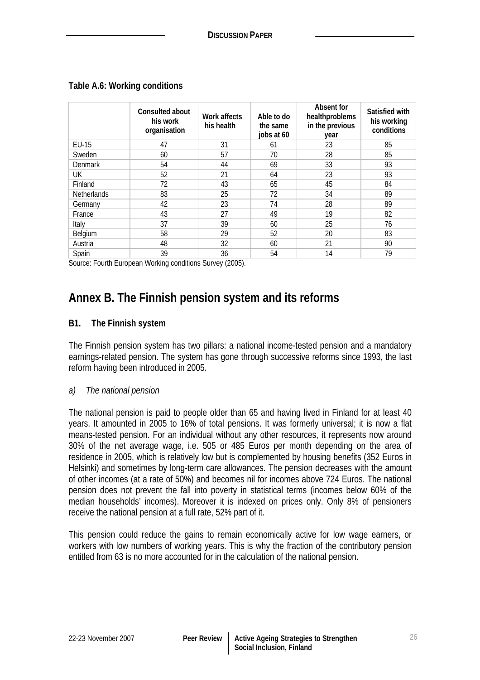|                    | Consulted about<br>his work<br>organisation | Work affects<br>his health | Able to do<br>the same<br>jobs at 60 | Absent for<br>healthproblems<br>in the previous<br>year | Satisfied with<br>his working<br>conditions |
|--------------------|---------------------------------------------|----------------------------|--------------------------------------|---------------------------------------------------------|---------------------------------------------|
| EU-15              | 47                                          | 31                         | 61                                   | 23                                                      | 85                                          |
| Sweden             | 60                                          | 57                         | 70                                   | 28                                                      | 85                                          |
| Denmark            | 54                                          | 44                         | 69                                   | 33                                                      | 93                                          |
| UK.                | 52                                          | 21                         | 64                                   | 23                                                      | 93                                          |
| Finland            | 72                                          | 43                         | 65                                   | 45                                                      | 84                                          |
| <b>Netherlands</b> | 83                                          | 25                         | 72                                   | 34                                                      | 89                                          |
| Germany            | 42                                          | 23                         | 74                                   | 28                                                      | 89                                          |
| France             | 43                                          | 27                         | 49                                   | 19                                                      | 82                                          |
| Italy              | 37                                          | 39                         | 60                                   | 25                                                      | 76                                          |
| Belgium            | 58                                          | 29                         | 52                                   | 20                                                      | 83                                          |
| Austria            | 48                                          | 32                         | 60                                   | 21                                                      | 90                                          |
| Spain              | 39                                          | 36                         | 54                                   | 14                                                      | 79                                          |

#### **Table A.6: Working conditions**

Source: Fourth European Working conditions Survey (2005).

# **Annex B. The Finnish pension system and its reforms**

#### **B1. The Finnish system**

The Finnish pension system has two pillars: a national income-tested pension and a mandatory earnings-related pension. The system has gone through successive reforms since 1993, the last reform having been introduced in 2005.

#### *a) The national pension*

The national pension is paid to people older than 65 and having lived in Finland for at least 40 years. It amounted in 2005 to 16% of total pensions. It was formerly universal; it is now a flat means-tested pension. For an individual without any other resources, it represents now around 30% of the net average wage, i.e. 505 or 485 Euros per month depending on the area of residence in 2005, which is relatively low but is complemented by housing benefits (352 Euros in Helsinki) and sometimes by long-term care allowances. The pension decreases with the amount of other incomes (at a rate of 50%) and becomes nil for incomes above 724 Euros. The national pension does not prevent the fall into poverty in statistical terms (incomes below 60% of the median households' incomes). Moreover it is indexed on prices only. Only 8% of pensioners receive the national pension at a full rate, 52% part of it.

This pension could reduce the gains to remain economically active for low wage earners, or workers with low numbers of working years. This is why the fraction of the contributory pension entitled from 63 is no more accounted for in the calculation of the national pension.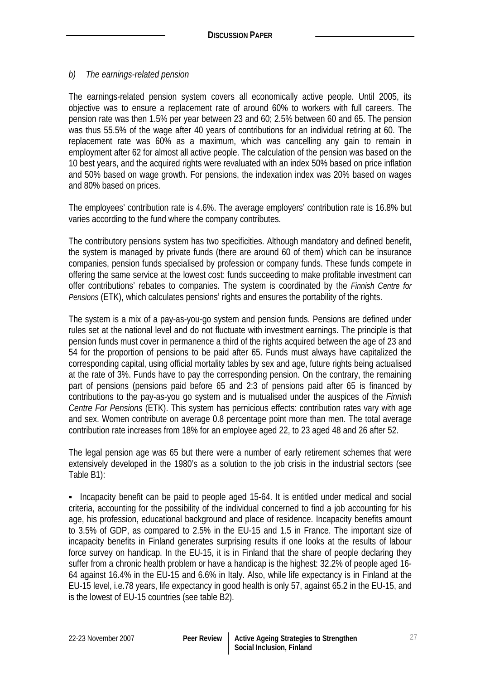## *b) The earnings-related pension*

The earnings-related pension system covers all economically active people. Until 2005, its objective was to ensure a replacement rate of around 60% to workers with full careers. The pension rate was then 1.5% per year between 23 and 60; 2.5% between 60 and 65. The pension was thus 55.5% of the wage after 40 years of contributions for an individual retiring at 60. The replacement rate was 60% as a maximum, which was cancelling any gain to remain in employment after 62 for almost all active people. The calculation of the pension was based on the 10 best years, and the acquired rights were revaluated with an index 50% based on price inflation and 50% based on wage growth. For pensions, the indexation index was 20% based on wages and 80% based on prices.

The employees' contribution rate is 4.6%. The average employers' contribution rate is 16.8% but varies according to the fund where the company contributes.

The contributory pensions system has two specificities. Although mandatory and defined benefit, the system is managed by private funds (there are around 60 of them) which can be insurance companies, pension funds specialised by profession or company funds. These funds compete in offering the same service at the lowest cost: funds succeeding to make profitable investment can offer contributions' rebates to companies. The system is coordinated by the *Finnish Centre for Pensions* (ETK), which calculates pensions' rights and ensures the portability of the rights.

The system is a mix of a pay-as-you-go system and pension funds. Pensions are defined under rules set at the national level and do not fluctuate with investment earnings. The principle is that pension funds must cover in permanence a third of the rights acquired between the age of 23 and 54 for the proportion of pensions to be paid after 65. Funds must always have capitalized the corresponding capital, using official mortality tables by sex and age, future rights being actualised at the rate of 3%. Funds have to pay the corresponding pension. On the contrary, the remaining part of pensions (pensions paid before 65 and 2:3 of pensions paid after 65 is financed by contributions to the pay-as-you go system and is mutualised under the auspices of the *Finnish Centre For Pensions* (ETK). This system has pernicious effects: contribution rates vary with age and sex. Women contribute on average 0.8 percentage point more than men. The total average contribution rate increases from 18% for an employee aged 22, to 23 aged 48 and 26 after 52.

The legal pension age was 65 but there were a number of early retirement schemes that were extensively developed in the 1980's as a solution to the job crisis in the industrial sectors (see Table B1):

 Incapacity benefit can be paid to people aged 15-64. It is entitled under medical and social criteria, accounting for the possibility of the individual concerned to find a job accounting for his age, his profession, educational background and place of residence. Incapacity benefits amount to 3.5% of GDP, as compared to 2.5% in the EU-15 and 1.5 in France. The important size of incapacity benefits in Finland generates surprising results if one looks at the results of labour force survey on handicap. In the EU-15, it is in Finland that the share of people declaring they suffer from a chronic health problem or have a handicap is the highest: 32.2% of people aged 16- 64 against 16.4% in the EU-15 and 6.6% in Italy. Also, while life expectancy is in Finland at the EU-15 level, i.e.78 years, life expectancy in good health is only 57, against 65.2 in the EU-15, and is the lowest of EU-15 countries (see table B2).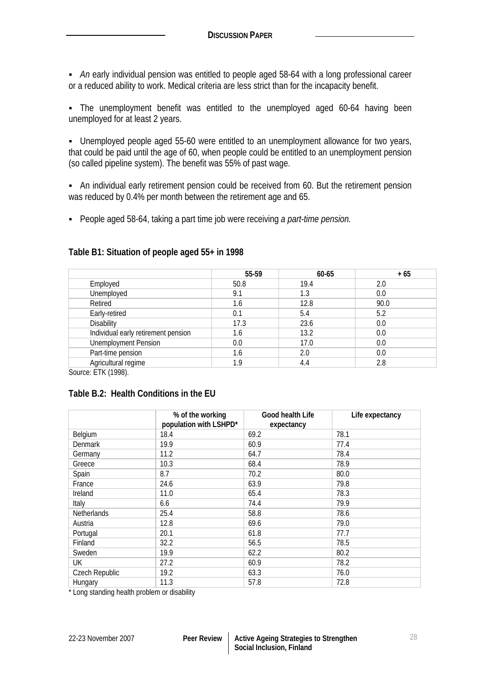*An* early individual pension was entitled to people aged 58-64 with a long professional career or a reduced ability to work. Medical criteria are less strict than for the incapacity benefit.

 The unemployment benefit was entitled to the unemployed aged 60-64 having been unemployed for at least 2 years.

 Unemployed people aged 55-60 were entitled to an unemployment allowance for two years, that could be paid until the age of 60, when people could be entitled to an unemployment pension (so called pipeline system). The benefit was 55% of past wage.

 An individual early retirement pension could be received from 60. But the retirement pension was reduced by 0.4% per month between the retirement age and 65.

People aged 58-64, taking a part time job were receiving *a part-time pension.*

|                                     | 55-59 | 60-65 | $+65$ |
|-------------------------------------|-------|-------|-------|
| Employed                            | 50.8  | 19.4  | 2.0   |
| Unemployed                          | 9.1   | 1.3   | 0.0   |
| Retired                             | 1.6   | 12.8  | 90.0  |
| Early-retired                       | 0.1   | 5.4   | 5.2   |
| <b>Disability</b>                   | 17.3  | 23.6  | 0.0   |
| Individual early retirement pension | 1.6   | 13.2  | 0.0   |
| <b>Unemployment Pension</b>         | 0.0   | 17.0  | 0.0   |
| Part-time pension                   | 1.6   | 2.0   | 0.0   |
| Agricultural regime                 | 1.9   | 4.4   | 2.8   |

Source: ETK (1998).

#### **Table B.2: Health Conditions in the EU**

|                | % of the working<br>population with LSHPD* | Good health Life<br>expectancy | Life expectancy |
|----------------|--------------------------------------------|--------------------------------|-----------------|
| Belgium        | 18.4                                       | 69.2                           | 78.1            |
| Denmark        | 19.9                                       | 60.9                           | 77.4            |
| Germany        | 11.2                                       | 64.7                           | 78.4            |
| Greece         | 10.3                                       | 68.4                           | 78.9            |
| Spain          | 8.7                                        | 70.2                           | 80.0            |
| France         | 24.6                                       | 63.9                           | 79.8            |
| Ireland        | 11.0                                       | 65.4                           | 78.3            |
| Italy          | 6.6                                        | 74.4                           | 79.9            |
| Netherlands    | 25.4                                       | 58.8                           | 78.6            |
| Austria        | 12.8                                       | 69.6                           | 79.0            |
| Portugal       | 20.1                                       | 61.8                           | 77.7            |
| Finland        | 32.2                                       | 56.5                           | 78.5            |
| Sweden         | 19.9                                       | 62.2                           | 80.2            |
| UK             | 27.2                                       | 60.9                           | 78.2            |
| Czech Republic | 19.2                                       | 63.3                           | 76.0            |
| Hungary        | 11.3                                       | 57.8                           | 72.8            |

\* Long standing health problem or disability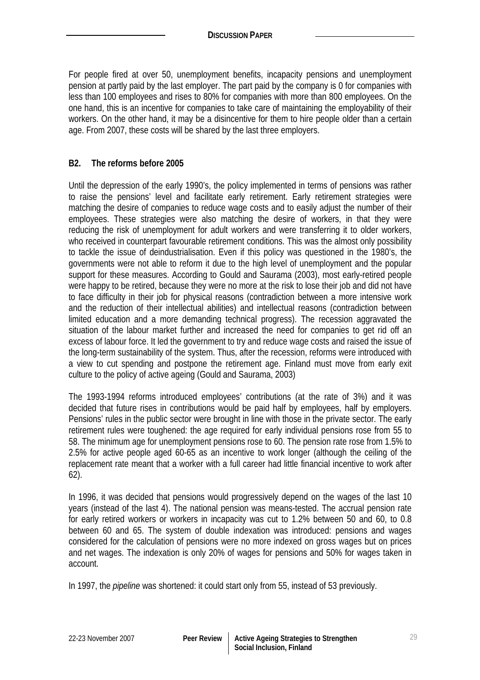For people fired at over 50, unemployment benefits, incapacity pensions and unemployment pension at partly paid by the last employer. The part paid by the company is 0 for companies with less than 100 employees and rises to 80% for companies with more than 800 employees. On the one hand, this is an incentive for companies to take care of maintaining the employability of their workers. On the other hand, it may be a disincentive for them to hire people older than a certain age. From 2007, these costs will be shared by the last three employers.

### **B2. The reforms before 2005**

Until the depression of the early 1990's, the policy implemented in terms of pensions was rather to raise the pensions' level and facilitate early retirement. Early retirement strategies were matching the desire of companies to reduce wage costs and to easily adjust the number of their employees. These strategies were also matching the desire of workers, in that they were reducing the risk of unemployment for adult workers and were transferring it to older workers, who received in counterpart favourable retirement conditions. This was the almost only possibility to tackle the issue of deindustrialisation. Even if this policy was questioned in the 1980's, the governments were not able to reform it due to the high level of unemployment and the popular support for these measures. According to Gould and Saurama (2003), most early-retired people were happy to be retired, because they were no more at the risk to lose their job and did not have to face difficulty in their job for physical reasons (contradiction between a more intensive work and the reduction of their intellectual abilities) and intellectual reasons (contradiction between limited education and a more demanding technical progress). The recession aggravated the situation of the labour market further and increased the need for companies to get rid off an excess of labour force. It led the government to try and reduce wage costs and raised the issue of the long-term sustainability of the system. Thus, after the recession, reforms were introduced with a view to cut spending and postpone the retirement age. Finland must move from early exit culture to the policy of active ageing (Gould and Saurama, 2003)

The 1993-1994 reforms introduced employees' contributions (at the rate of 3%) and it was decided that future rises in contributions would be paid half by employees, half by employers. Pensions' rules in the public sector were brought in line with those in the private sector. The early retirement rules were toughened: the age required for early individual pensions rose from 55 to 58. The minimum age for unemployment pensions rose to 60. The pension rate rose from 1.5% to 2.5% for active people aged 60-65 as an incentive to work longer (although the ceiling of the replacement rate meant that a worker with a full career had little financial incentive to work after 62).

In 1996, it was decided that pensions would progressively depend on the wages of the last 10 years (instead of the last 4). The national pension was means-tested. The accrual pension rate for early retired workers or workers in incapacity was cut to 1.2% between 50 and 60, to 0.8 between 60 and 65. The system of double indexation was introduced: pensions and wages considered for the calculation of pensions were no more indexed on gross wages but on prices and net wages. The indexation is only 20% of wages for pensions and 50% for wages taken in account.

In 1997, the *pipeline* was shortened: it could start only from 55, instead of 53 previously.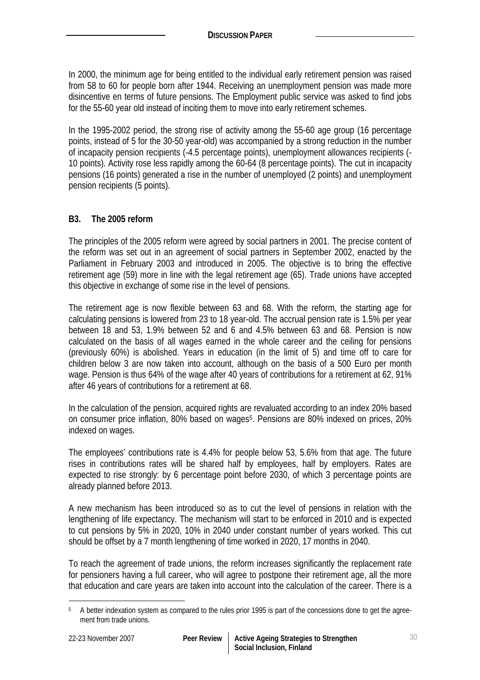In 2000, the minimum age for being entitled to the individual early retirement pension was raised from 58 to 60 for people born after 1944. Receiving an unemployment pension was made more disincentive en terms of future pensions. The Employment public service was asked to find jobs for the 55-60 year old instead of inciting them to move into early retirement schemes.

In the 1995-2002 period, the strong rise of activity among the 55-60 age group (16 percentage points, instead of 5 for the 30-50 year-old) was accompanied by a strong reduction in the number of incapacity pension recipients (-4.5 percentage points), unemployment allowances recipients (- 10 points). Activity rose less rapidly among the 60-64 (8 percentage points). The cut in incapacity pensions (16 points) generated a rise in the number of unemployed (2 points) and unemployment pension recipients (5 points).

## **B3. The 2005 reform**

The principles of the 2005 reform were agreed by social partners in 2001. The precise content of the reform was set out in an agreement of social partners in September 2002, enacted by the Parliament in February 2003 and introduced in 2005. The objective is to bring the effective retirement age (59) more in line with the legal retirement age (65). Trade unions have accepted this objective in exchange of some rise in the level of pensions.

The retirement age is now flexible between 63 and 68. With the reform, the starting age for calculating pensions is lowered from 23 to 18 year-old. The accrual pension rate is 1.5% per year between 18 and 53, 1.9% between 52 and 6 and 4.5% between 63 and 68. Pension is now calculated on the basis of all wages earned in the whole career and the ceiling for pensions (previously 60%) is abolished. Years in education (in the limit of 5) and time off to care for children below 3 are now taken into account, although on the basis of a 500 Euro per month wage. Pension is thus 64% of the wage after 40 years of contributions for a retirement at 62, 91% after 46 years of contributions for a retirement at 68.

In the calculation of the pension, acquired rights are revaluated according to an index 20% based on consumer price inflation, 80% based on wages<sup>5</sup>. Pensions are 80% indexed on prices, 20% indexed on wages.

The employees' contributions rate is 4.4% for people below 53, 5.6% from that age. The future rises in contributions rates will be shared half by employees, half by employers. Rates are expected to rise strongly: by 6 percentage point before 2030, of which 3 percentage points are already planned before 2013.

A new mechanism has been introduced so as to cut the level of pensions in relation with the lengthening of life expectancy. The mechanism will start to be enforced in 2010 and is expected to cut pensions by 5% in 2020, 10% in 2040 under constant number of years worked. This cut should be offset by a 7 month lengthening of time worked in 2020, 17 months in 2040.

To reach the agreement of trade unions, the reform increases significantly the replacement rate for pensioners having a full career, who will agree to postpone their retirement age, all the more that education and care years are taken into account into the calculation of the career. There is a

 $\overline{a}$ 

<sup>5</sup> A better indexation system as compared to the rules prior 1995 is part of the concessions done to get the agreement from trade unions.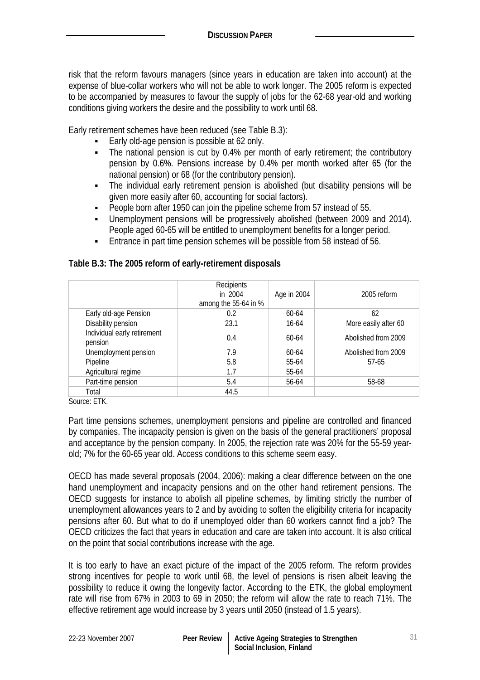risk that the reform favours managers (since years in education are taken into account) at the expense of blue-collar workers who will not be able to work longer. The 2005 reform is expected to be accompanied by measures to favour the supply of jobs for the 62-68 year-old and working conditions giving workers the desire and the possibility to work until 68.

Early retirement schemes have been reduced (see Table B.3):

- Early old-age pension is possible at 62 only.
- The national pension is cut by 0.4% per month of early retirement; the contributory pension by 0.6%. Pensions increase by 0.4% per month worked after 65 (for the national pension) or 68 (for the contributory pension).
- The individual early retirement pension is abolished (but disability pensions will be given more easily after 60, accounting for social factors).
- People born after 1950 can join the pipeline scheme from 57 instead of 55.
- Unemployment pensions will be progressively abolished (between 2009 and 2014). People aged 60-65 will be entitled to unemployment benefits for a longer period.
- **Entrance in part time pension schemes will be possible from 58 instead of 56.**

|                                        | Recipients<br>in 2004<br>among the 55-64 in % | Age in 2004 | 2005 reform          |
|----------------------------------------|-----------------------------------------------|-------------|----------------------|
| Early old-age Pension                  | 0.2                                           | 60-64       | 62                   |
| Disability pension                     | 23.1                                          | 16-64       | More easily after 60 |
| Individual early retirement<br>pension | 0.4                                           | $60 - 64$   | Abolished from 2009  |
| Unemployment pension                   | 7.9                                           | 60-64       | Abolished from 2009  |
| Pipeline                               | 5.8                                           | 55-64       | $57-65$              |
| Agricultural regime                    | 1.7                                           | 55-64       |                      |
| Part-time pension                      | 5.4                                           | 56-64       | 58-68                |
| Total                                  | 44.5                                          |             |                      |

#### **Table B.3: The 2005 reform of early-retirement disposals**

Source: ETK.

Part time pensions schemes, unemployment pensions and pipeline are controlled and financed by companies. The incapacity pension is given on the basis of the general practitioners' proposal and acceptance by the pension company. In 2005, the rejection rate was 20% for the 55-59 yearold; 7% for the 60-65 year old. Access conditions to this scheme seem easy.

OECD has made several proposals (2004, 2006): making a clear difference between on the one hand unemployment and incapacity pensions and on the other hand retirement pensions. The OECD suggests for instance to abolish all pipeline schemes, by limiting strictly the number of unemployment allowances years to 2 and by avoiding to soften the eligibility criteria for incapacity pensions after 60. But what to do if unemployed older than 60 workers cannot find a job? The OECD criticizes the fact that years in education and care are taken into account. It is also critical on the point that social contributions increase with the age.

It is too early to have an exact picture of the impact of the 2005 reform. The reform provides strong incentives for people to work until 68, the level of pensions is risen albeit leaving the possibility to reduce it owing the longevity factor. According to the ETK, the global employment rate will rise from 67% in 2003 to 69 in 2050; the reform will allow the rate to reach 71%. The effective retirement age would increase by 3 years until 2050 (instead of 1.5 years).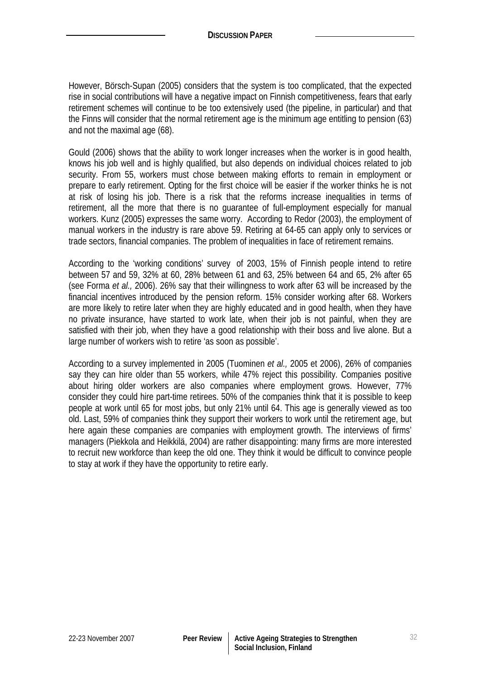However, Börsch-Supan (2005) considers that the system is too complicated, that the expected rise in social contributions will have a negative impact on Finnish competitiveness, fears that early retirement schemes will continue to be too extensively used (the pipeline, in particular) and that the Finns will consider that the normal retirement age is the minimum age entitling to pension (63) and not the maximal age (68).

Gould (2006) shows that the ability to work longer increases when the worker is in good health, knows his job well and is highly qualified, but also depends on individual choices related to job security. From 55, workers must chose between making efforts to remain in employment or prepare to early retirement. Opting for the first choice will be easier if the worker thinks he is not at risk of losing his job. There is a risk that the reforms increase inequalities in terms of retirement, all the more that there is no guarantee of full-employment especially for manual workers. Kunz (2005) expresses the same worry. According to Redor (2003), the employment of manual workers in the industry is rare above 59. Retiring at 64-65 can apply only to services or trade sectors, financial companies. The problem of inequalities in face of retirement remains.

According to the 'working conditions' survey of 2003, 15% of Finnish people intend to retire between 57 and 59, 32% at 60, 28% between 61 and 63, 25% between 64 and 65, 2% after 65 (see Forma *et al.,* 2006). 26% say that their willingness to work after 63 will be increased by the financial incentives introduced by the pension reform. 15% consider working after 68. Workers are more likely to retire later when they are highly educated and in good health, when they have no private insurance, have started to work late, when their job is not painful, when they are satisfied with their job, when they have a good relationship with their boss and live alone. But a large number of workers wish to retire 'as soon as possible'.

According to a survey implemented in 2005 (Tuominen *et al.,* 2005 et 2006), 26% of companies say they can hire older than 55 workers, while 47% reject this possibility. Companies positive about hiring older workers are also companies where employment grows. However, 77% consider they could hire part-time retirees. 50% of the companies think that it is possible to keep people at work until 65 for most jobs, but only 21% until 64. This age is generally viewed as too old. Last, 59% of companies think they support their workers to work until the retirement age, but here again these companies are companies with employment growth. The interviews of firms' managers (Piekkola and Heikkilä, 2004) are rather disappointing: many firms are more interested to recruit new workforce than keep the old one. They think it would be difficult to convince people to stay at work if they have the opportunity to retire early.